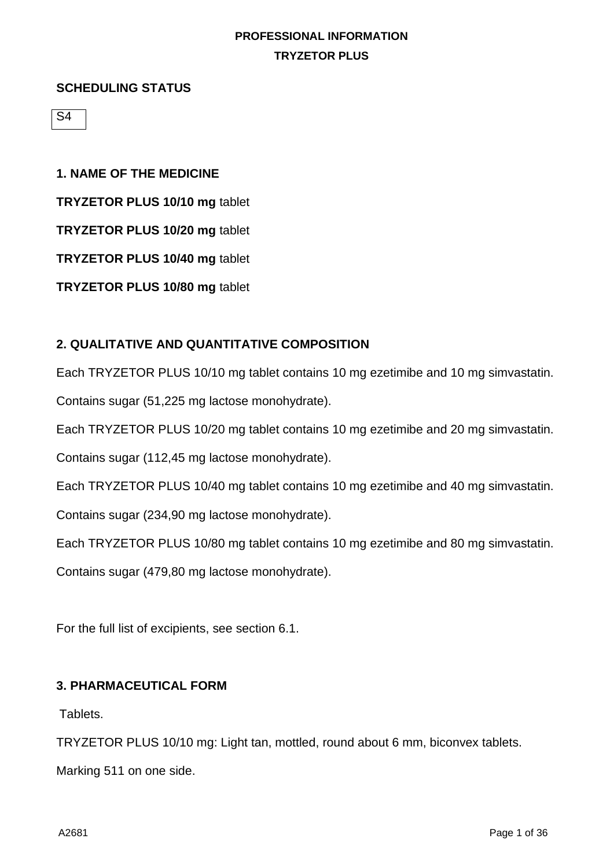#### **SCHEDULING STATUS**

S4

# **1. NAME OF THE MEDICINE TRYZETOR PLUS 10/10 mg** tablet **TRYZETOR PLUS 10/20 mg** tablet **TRYZETOR PLUS 10/40 mg** tablet

**TRYZETOR PLUS 10/80 mg** tablet

### **2. QUALITATIVE AND QUANTITATIVE COMPOSITION**

Each TRYZETOR PLUS 10/10 mg tablet contains 10 mg ezetimibe and 10 mg simvastatin.

Contains sugar (51,225 mg lactose monohydrate).

Each TRYZETOR PLUS 10/20 mg tablet contains 10 mg ezetimibe and 20 mg simvastatin.

Contains sugar (112,45 mg lactose monohydrate).

Each TRYZETOR PLUS 10/40 mg tablet contains 10 mg ezetimibe and 40 mg simvastatin.

Contains sugar (234,90 mg lactose monohydrate).

Each TRYZETOR PLUS 10/80 mg tablet contains 10 mg ezetimibe and 80 mg simvastatin.

Contains sugar (479,80 mg lactose monohydrate).

For the full list of excipients, see section 6.1.

### **3. PHARMACEUTICAL FORM**

Tablets.

TRYZETOR PLUS 10/10 mg: Light tan, mottled, round about 6 mm, biconvex tablets.

Marking 511 on one side.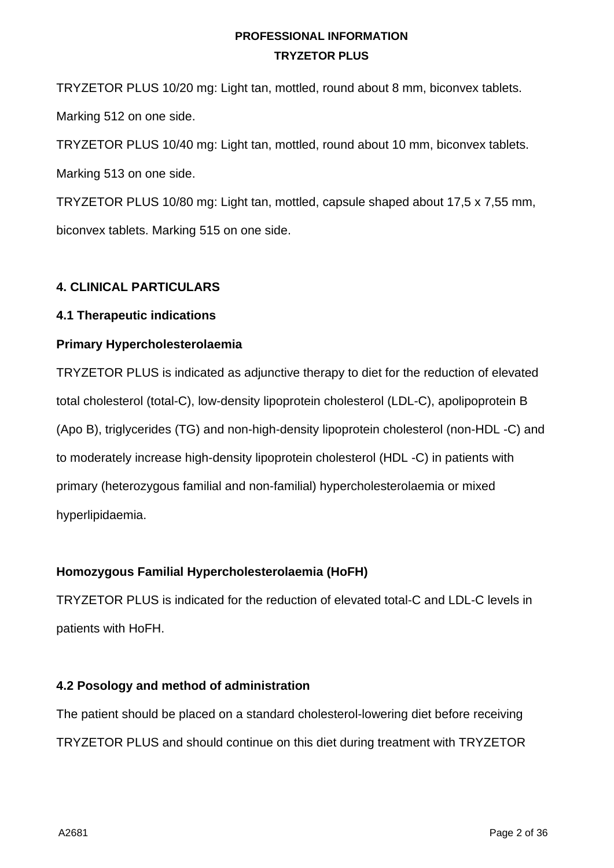TRYZETOR PLUS 10/20 mg: Light tan, mottled, round about 8 mm, biconvex tablets. Marking 512 on one side.

TRYZETOR PLUS 10/40 mg: Light tan, mottled, round about 10 mm, biconvex tablets. Marking 513 on one side.

TRYZETOR PLUS 10/80 mg: Light tan, mottled, capsule shaped about 17,5 x 7,55 mm, biconvex tablets. Marking 515 on one side.

# **4. CLINICAL PARTICULARS**

# **4.1 Therapeutic indications**

# **Primary Hypercholesterolaemia**

TRYZETOR PLUS is indicated as adjunctive therapy to diet for the reduction of elevated total cholesterol (total-C), low-density lipoprotein cholesterol (LDL-C), apolipoprotein B (Apo B), triglycerides (TG) and non-high-density lipoprotein cholesterol (non-HDL -C) and to moderately increase high-density lipoprotein cholesterol (HDL -C) in patients with primary (heterozygous familial and non-familial) hypercholesterolaemia or mixed hyperlipidaemia.

# **Homozygous Familial Hypercholesterolaemia (HoFH)**

TRYZETOR PLUS is indicated for the reduction of elevated total-C and LDL-C levels in patients with HoFH.

# **4.2 Posology and method of administration**

The patient should be placed on a standard cholesterol-lowering diet before receiving TRYZETOR PLUS and should continue on this diet during treatment with TRYZETOR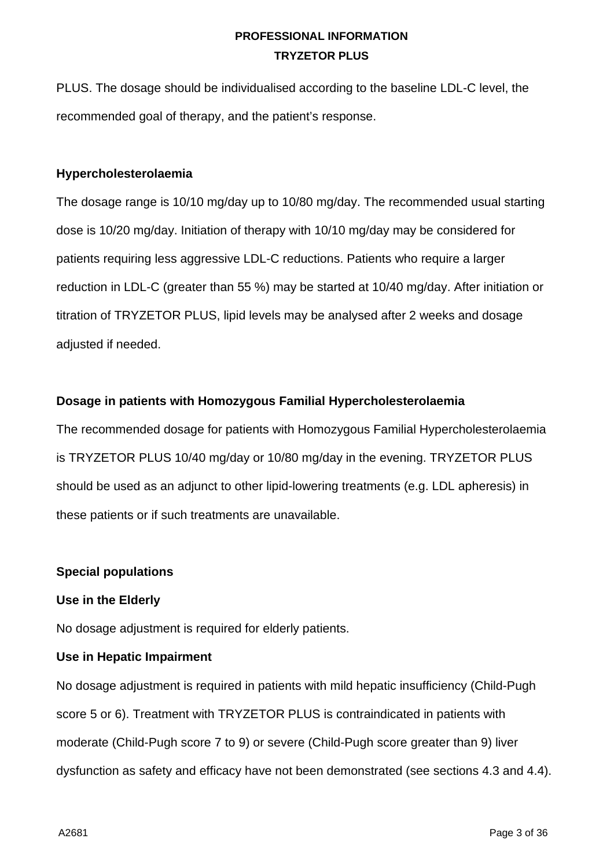PLUS. The dosage should be individualised according to the baseline LDL-C level, the recommended goal of therapy, and the patient's response.

#### **Hypercholesterolaemia**

The dosage range is 10/10 mg/day up to 10/80 mg/day. The recommended usual starting dose is 10/20 mg/day. Initiation of therapy with 10/10 mg/day may be considered for patients requiring less aggressive LDL-C reductions. Patients who require a larger reduction in LDL-C (greater than 55 %) may be started at 10/40 mg/day. After initiation or titration of TRYZETOR PLUS, lipid levels may be analysed after 2 weeks and dosage adjusted if needed.

### **Dosage in patients with Homozygous Familial Hypercholesterolaemia**

The recommended dosage for patients with Homozygous Familial Hypercholesterolaemia is TRYZETOR PLUS 10/40 mg/day or 10/80 mg/day in the evening. TRYZETOR PLUS should be used as an adjunct to other lipid-lowering treatments (e.g. LDL apheresis) in these patients or if such treatments are unavailable.

### **Special populations**

### **Use in the Elderly**

No dosage adjustment is required for elderly patients.

#### **Use in Hepatic Impairment**

No dosage adjustment is required in patients with mild hepatic insufficiency (Child-Pugh score 5 or 6). Treatment with TRYZETOR PLUS is contraindicated in patients with moderate (Child-Pugh score 7 to 9) or severe (Child-Pugh score greater than 9) liver dysfunction as safety and efficacy have not been demonstrated (see sections 4.3 and 4.4).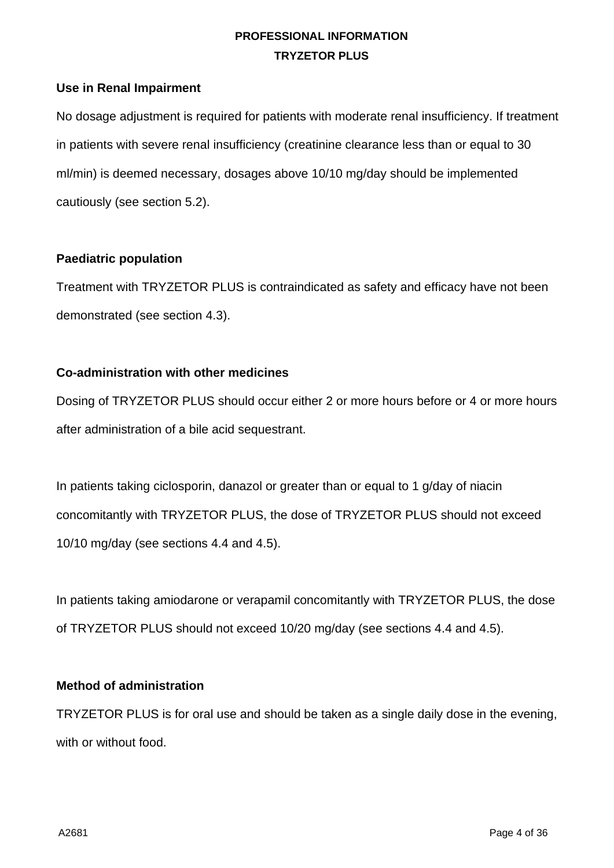#### **Use in Renal Impairment**

No dosage adjustment is required for patients with moderate renal insufficiency. If treatment in patients with severe renal insufficiency (creatinine clearance less than or equal to 30 ml/min) is deemed necessary, dosages above 10/10 mg/day should be implemented cautiously (see section 5.2).

#### **Paediatric population**

Treatment with TRYZETOR PLUS is contraindicated as safety and efficacy have not been demonstrated (see section 4.3).

#### **Co-administration with other medicines**

Dosing of TRYZETOR PLUS should occur either 2 or more hours before or 4 or more hours after administration of a bile acid sequestrant.

In patients taking ciclosporin, danazol or greater than or equal to 1 g/day of niacin concomitantly with TRYZETOR PLUS, the dose of TRYZETOR PLUS should not exceed 10/10 mg/day (see sections 4.4 and 4.5).

In patients taking amiodarone or verapamil concomitantly with TRYZETOR PLUS, the dose of TRYZETOR PLUS should not exceed 10/20 mg/day (see sections 4.4 and 4.5).

### **Method of administration**

TRYZETOR PLUS is for oral use and should be taken as a single daily dose in the evening, with or without food.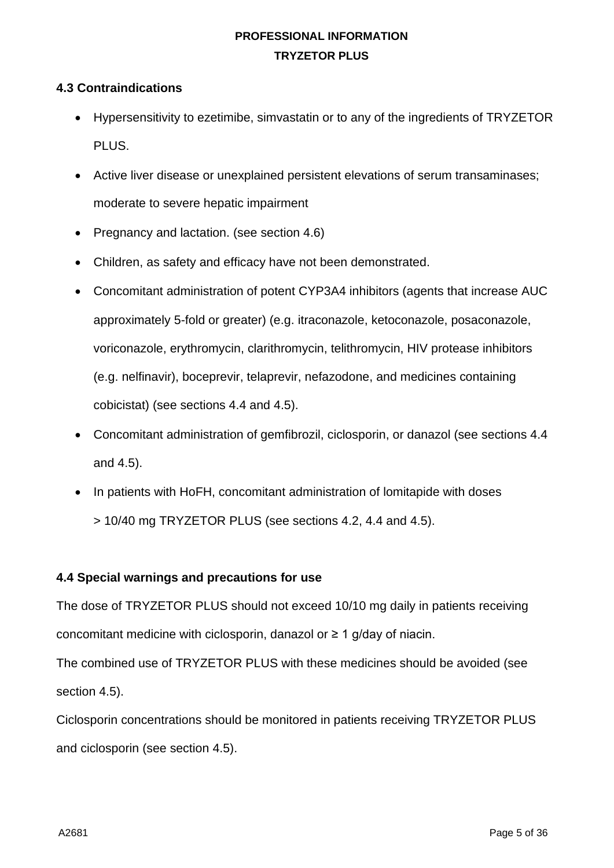#### **4.3 Contraindications**

- Hypersensitivity to ezetimibe, simvastatin or to any of the ingredients of TRYZETOR PLUS.
- Active liver disease or unexplained persistent elevations of serum transaminases; moderate to severe hepatic impairment
- Pregnancy and lactation. (see section 4.6)
- Children, as safety and efficacy have not been demonstrated.
- Concomitant administration of potent CYP3A4 inhibitors (agents that increase AUC approximately 5-fold or greater) (e.g. itraconazole, ketoconazole, posaconazole, voriconazole, erythromycin, clarithromycin, telithromycin, HIV protease inhibitors (e.g. nelfinavir), boceprevir, telaprevir, nefazodone, and medicines containing cobicistat) (see sections 4.4 and 4.5).
- Concomitant administration of gemfibrozil, ciclosporin, or danazol (see sections 4.4 and 4.5).
- In patients with HoFH, concomitant administration of lomitapide with doses
	- > 10/40 mg TRYZETOR PLUS (see sections 4.2, 4.4 and 4.5).

### **4.4 Special warnings and precautions for use**

The dose of TRYZETOR PLUS should not exceed 10/10 mg daily in patients receiving concomitant medicine with ciclosporin, danazol or  $\geq 1$  g/day of niacin.

The combined use of TRYZETOR PLUS with these medicines should be avoided (see section 4.5).

Ciclosporin concentrations should be monitored in patients receiving TRYZETOR PLUS and ciclosporin (see section 4.5).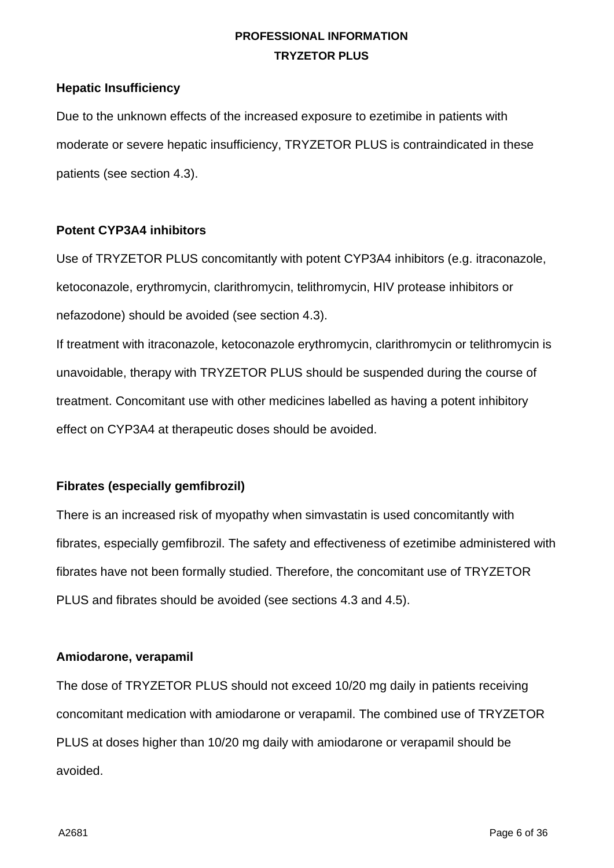#### **Hepatic Insufficiency**

Due to the unknown effects of the increased exposure to ezetimibe in patients with moderate or severe hepatic insufficiency, TRYZETOR PLUS is contraindicated in these patients (see section 4.3).

#### **Potent CYP3A4 inhibitors**

Use of TRYZETOR PLUS concomitantly with potent CYP3A4 inhibitors (e.g. itraconazole, ketoconazole, erythromycin, clarithromycin, telithromycin, HIV protease inhibitors or nefazodone) should be avoided (see section 4.3).

If treatment with itraconazole, ketoconazole erythromycin, clarithromycin or telithromycin is unavoidable, therapy with TRYZETOR PLUS should be suspended during the course of treatment. Concomitant use with other medicines labelled as having a potent inhibitory effect on CYP3A4 at therapeutic doses should be avoided.

### **Fibrates (especially gemfibrozil)**

There is an increased risk of myopathy when simvastatin is used concomitantly with fibrates, especially gemfibrozil. The safety and effectiveness of ezetimibe administered with fibrates have not been formally studied. Therefore, the concomitant use of TRYZETOR PLUS and fibrates should be avoided (see sections 4.3 and 4.5).

#### **Amiodarone, verapamil**

The dose of TRYZETOR PLUS should not exceed 10/20 mg daily in patients receiving concomitant medication with amiodarone or verapamil. The combined use of TRYZETOR PLUS at doses higher than 10/20 mg daily with amiodarone or verapamil should be avoided.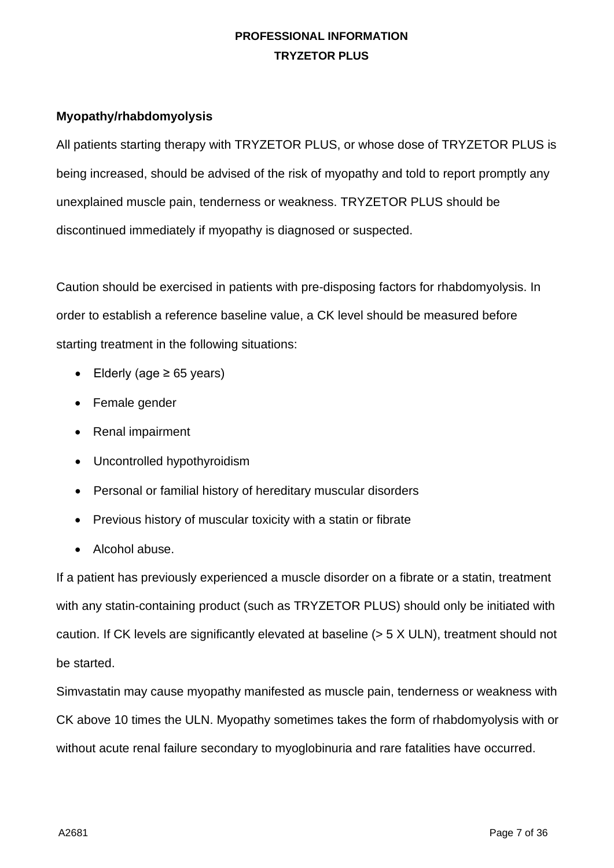#### **Myopathy/rhabdomyolysis**

All patients starting therapy with TRYZETOR PLUS, or whose dose of TRYZETOR PLUS is being increased, should be advised of the risk of myopathy and told to report promptly any unexplained muscle pain, tenderness or weakness. TRYZETOR PLUS should be discontinued immediately if myopathy is diagnosed or suspected.

Caution should be exercised in patients with pre-disposing factors for rhabdomyolysis. In order to establish a reference baseline value, a CK level should be measured before starting treatment in the following situations:

- Elderly (age ≥ 65 years)
- Female gender
- Renal impairment
- Uncontrolled hypothyroidism
- Personal or familial history of hereditary muscular disorders
- Previous history of muscular toxicity with a statin or fibrate
- Alcohol abuse.

If a patient has previously experienced a muscle disorder on a fibrate or a statin, treatment with any statin-containing product (such as TRYZETOR PLUS) should only be initiated with caution. If CK levels are significantly elevated at baseline (> 5 X ULN), treatment should not be started.

Simvastatin may cause myopathy manifested as muscle pain, tenderness or weakness with CK above 10 times the ULN. Myopathy sometimes takes the form of rhabdomyolysis with or without acute renal failure secondary to myoglobinuria and rare fatalities have occurred.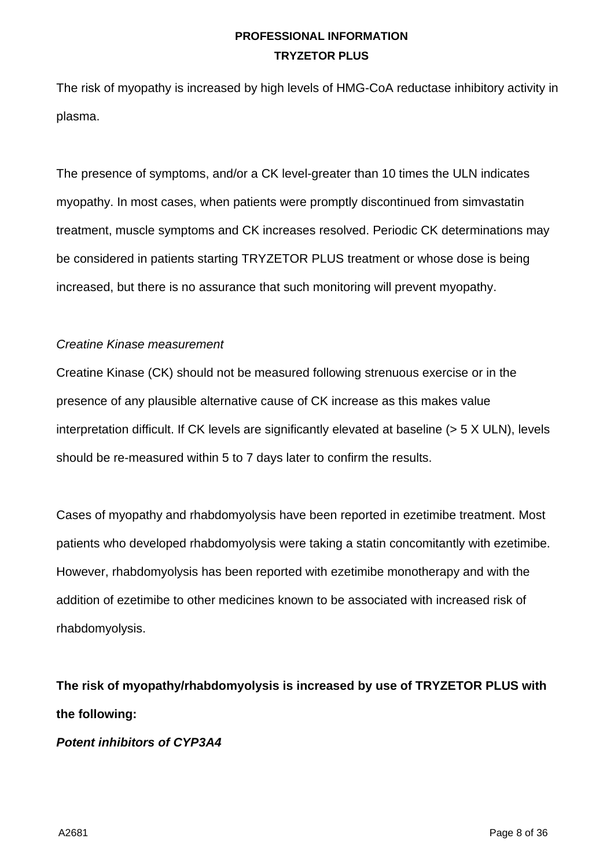The risk of myopathy is increased by high levels of HMG-CoA reductase inhibitory activity in plasma.

The presence of symptoms, and/or a CK level-greater than 10 times the ULN indicates myopathy. In most cases, when patients were promptly discontinued from simvastatin treatment, muscle symptoms and CK increases resolved. Periodic CK determinations may be considered in patients starting TRYZETOR PLUS treatment or whose dose is being increased, but there is no assurance that such monitoring will prevent myopathy.

#### *Creatine Kinase measurement*

Creatine Kinase (CK) should not be measured following strenuous exercise or in the presence of any plausible alternative cause of CK increase as this makes value interpretation difficult. If CK levels are significantly elevated at baseline (> 5 X ULN), levels should be re-measured within 5 to 7 days later to confirm the results.

Cases of myopathy and rhabdomyolysis have been reported in ezetimibe treatment. Most patients who developed rhabdomyolysis were taking a statin concomitantly with ezetimibe. However, rhabdomyolysis has been reported with ezetimibe monotherapy and with the addition of ezetimibe to other medicines known to be associated with increased risk of rhabdomyolysis.

**The risk of myopathy/rhabdomyolysis is increased by use of TRYZETOR PLUS with the following:**

### *Potent inhibitors of CYP3A4*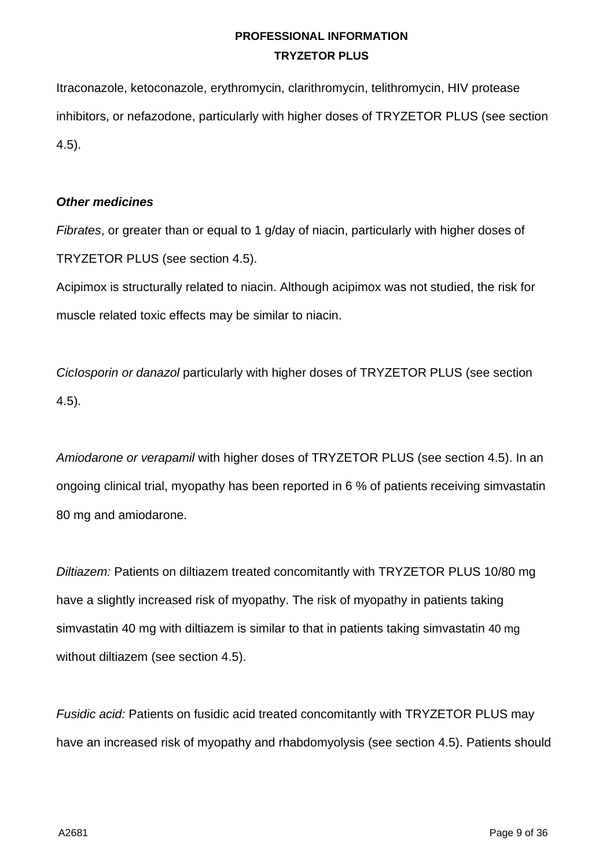Itraconazole, ketoconazole, erythromycin, clarithromycin, telithromycin, HIV protease inhibitors, or nefazodone, particularly with higher doses of TRYZETOR PLUS (see section 4.5).

#### *Other medicines*

*Fibrates*, or greater than or equal to 1 g/day of niacin, particularly with higher doses of TRYZETOR PLUS (see section 4.5).

Acipimox is structurally related to niacin. Although acipimox was not studied, the risk for muscle related toxic effects may be similar to niacin.

*CicIosporin or danazol* particularly with higher doses of TRYZETOR PLUS (see section 4.5).

*Amiodarone or verapamil* with higher doses of TRYZETOR PLUS (see section 4.5). In an ongoing clinical trial, myopathy has been reported in 6 % of patients receiving simvastatin 80 mg and amiodarone.

*Diltiazem:* Patients on diltiazem treated concomitantly with TRYZETOR PLUS 10/80 mg have a slightly increased risk of myopathy. The risk of myopathy in patients taking simvastatin 40 mg with diltiazem is similar to that in patients taking simvastatin 40 mg without diltiazem (see section 4.5).

*Fusidic acid:* Patients on fusidic acid treated concomitantly with TRYZETOR PLUS may have an increased risk of myopathy and rhabdomyolysis (see section 4.5). Patients should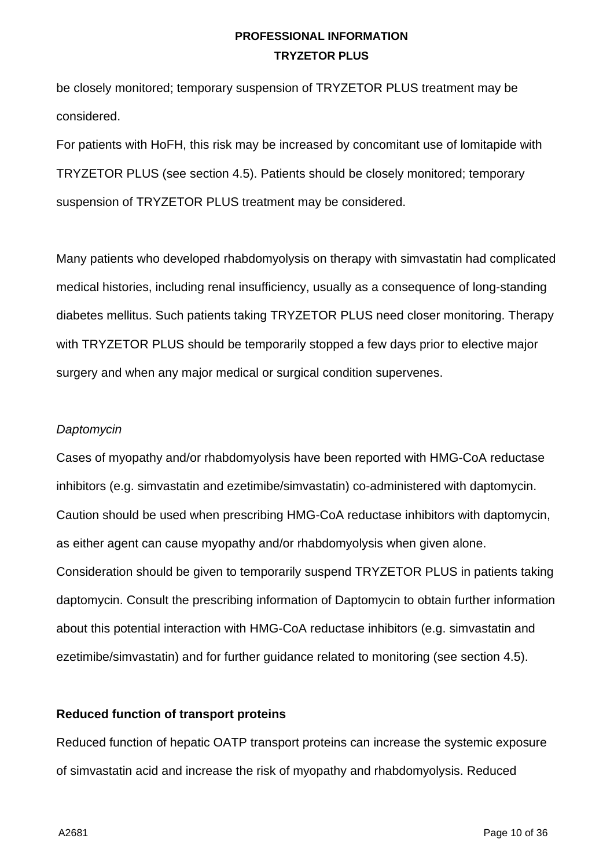be closely monitored; temporary suspension of TRYZETOR PLUS treatment may be considered.

For patients with HoFH, this risk may be increased by concomitant use of lomitapide with TRYZETOR PLUS (see section 4.5). Patients should be closely monitored; temporary suspension of TRYZETOR PLUS treatment may be considered.

Many patients who developed rhabdomyolysis on therapy with simvastatin had complicated medical histories, including renal insufficiency, usually as a consequence of long-standing diabetes mellitus. Such patients taking TRYZETOR PLUS need closer monitoring. Therapy with TRYZETOR PLUS should be temporarily stopped a few days prior to elective major surgery and when any major medical or surgical condition supervenes.

#### *Daptomycin*

Cases of myopathy and/or rhabdomyolysis have been reported with HMG-CoA reductase inhibitors (e.g. simvastatin and ezetimibe/simvastatin) co-administered with daptomycin. Caution should be used when prescribing HMG-CoA reductase inhibitors with daptomycin, as either agent can cause myopathy and/or rhabdomyolysis when given alone. Consideration should be given to temporarily suspend TRYZETOR PLUS in patients taking daptomycin. Consult the prescribing information of Daptomycin to obtain further information about this potential interaction with HMG-CoA reductase inhibitors (e.g. simvastatin and ezetimibe/simvastatin) and for further guidance related to monitoring (see section 4.5).

#### **Reduced function of transport proteins**

Reduced function of hepatic OATP transport proteins can increase the systemic exposure of simvastatin acid and increase the risk of myopathy and rhabdomyolysis. Reduced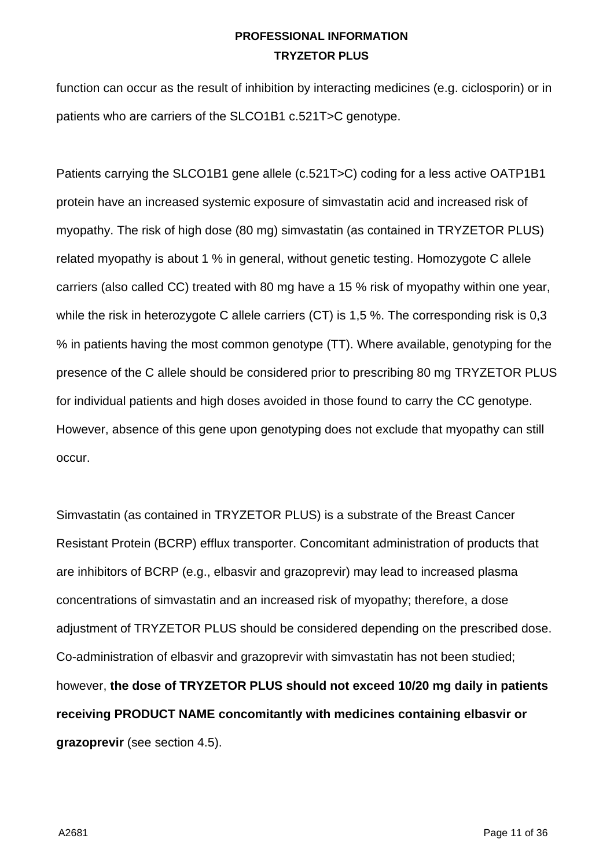function can occur as the result of inhibition by interacting medicines (e.g. ciclosporin) or in patients who are carriers of the SLCO1B1 c.521T>C genotype.

Patients carrying the SLCO1B1 gene allele (c.521T>C) coding for a less active OATP1B1 protein have an increased systemic exposure of simvastatin acid and increased risk of myopathy. The risk of high dose (80 mg) simvastatin (as contained in TRYZETOR PLUS) related myopathy is about 1 % in general, without genetic testing. Homozygote C allele carriers (also called CC) treated with 80 mg have a 15 % risk of myopathy within one year, while the risk in heterozygote C allele carriers (CT) is 1,5 %. The corresponding risk is 0,3 % in patients having the most common genotype (TT). Where available, genotyping for the presence of the C allele should be considered prior to prescribing 80 mg TRYZETOR PLUS for individual patients and high doses avoided in those found to carry the CC genotype. However, absence of this gene upon genotyping does not exclude that myopathy can still occur.

Simvastatin (as contained in TRYZETOR PLUS) is a substrate of the Breast Cancer Resistant Protein (BCRP) efflux transporter. Concomitant administration of products that are inhibitors of BCRP (e.g., elbasvir and grazoprevir) may lead to increased plasma concentrations of simvastatin and an increased risk of myopathy; therefore, a dose adjustment of TRYZETOR PLUS should be considered depending on the prescribed dose. Co-administration of elbasvir and grazoprevir with simvastatin has not been studied; however, **the dose of TRYZETOR PLUS should not exceed 10/20 mg daily in patients receiving PRODUCT NAME concomitantly with medicines containing elbasvir or grazoprevir** (see section 4.5).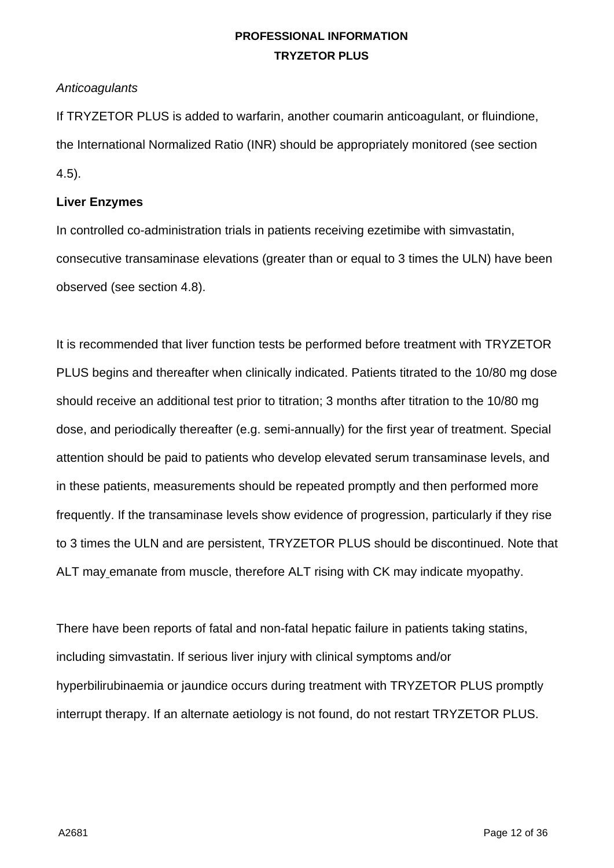#### *Anticoagulants*

If TRYZETOR PLUS is added to warfarin, another coumarin anticoagulant, or fluindione, the International Normalized Ratio (INR) should be appropriately monitored (see section 4.5).

#### **Liver Enzymes**

In controlled co-administration trials in patients receiving ezetimibe with simvastatin, consecutive transaminase elevations (greater than or equal to 3 times the ULN) have been observed (see section 4.8).

It is recommended that liver function tests be performed before treatment with TRYZETOR PLUS begins and thereafter when clinically indicated. Patients titrated to the 10/80 mg dose should receive an additional test prior to titration; 3 months after titration to the 10/80 mg dose, and periodically thereafter (e.g. semi-annually) for the first year of treatment. Special attention should be paid to patients who develop elevated serum transaminase levels, and in these patients, measurements should be repeated promptly and then performed more frequently. If the transaminase levels show evidence of progression, particularly if they rise to 3 times the ULN and are persistent, TRYZETOR PLUS should be discontinued. Note that ALT may emanate from muscle, therefore ALT rising with CK may indicate myopathy.

There have been reports of fatal and non-fatal hepatic failure in patients taking statins, including simvastatin. If serious liver injury with clinical symptoms and/or hyperbilirubinaemia or jaundice occurs during treatment with TRYZETOR PLUS promptly interrupt therapy. If an alternate aetiology is not found, do not restart TRYZETOR PLUS.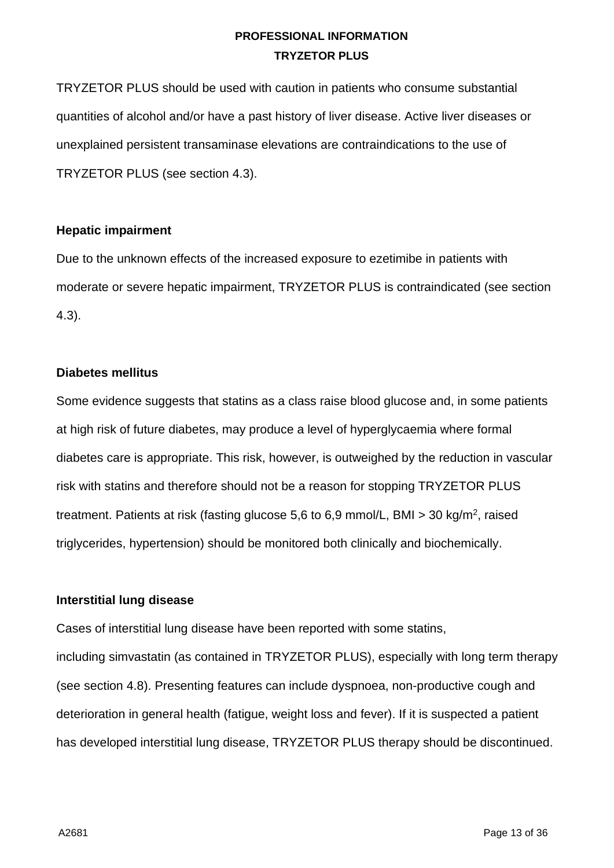TRYZETOR PLUS should be used with caution in patients who consume substantial quantities of alcohol and/or have a past history of liver disease. Active liver diseases or unexplained persistent transaminase elevations are contraindications to the use of TRYZETOR PLUS (see section 4.3).

#### **Hepatic impairment**

Due to the unknown effects of the increased exposure to ezetimibe in patients with moderate or severe hepatic impairment, TRYZETOR PLUS is contraindicated (see section 4.3).

### **Diabetes mellitus**

Some evidence suggests that statins as a class raise blood glucose and, in some patients at high risk of future diabetes, may produce a level of hyperglycaemia where formal diabetes care is appropriate. This risk, however, is outweighed by the reduction in vascular risk with statins and therefore should not be a reason for stopping TRYZETOR PLUS treatment. Patients at risk (fasting glucose 5,6 to 6,9 mmol/L, BMI > 30 kg/m2, raised triglycerides, hypertension) should be monitored both clinically and biochemically.

### **Interstitial lung disease**

Cases of interstitial lung disease have been reported with some statins,

including simvastatin (as contained in TRYZETOR PLUS), especially with long term therapy (see section 4.8). Presenting features can include dyspnoea, non-productive cough and deterioration in general health (fatigue, weight loss and fever). If it is suspected a patient has developed interstitial lung disease, TRYZETOR PLUS therapy should be discontinued.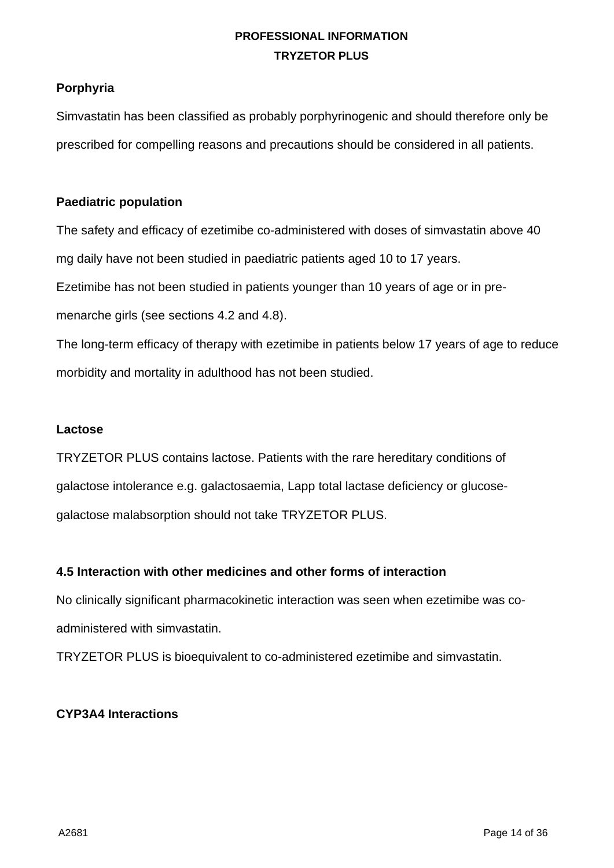#### **Porphyria**

Simvastatin has been classified as probably porphyrinogenic and should therefore only be prescribed for compelling reasons and precautions should be considered in all patients.

#### **Paediatric population**

The safety and efficacy of ezetimibe co-administered with doses of simvastatin above 40 mg daily have not been studied in paediatric patients aged 10 to 17 years. Ezetimibe has not been studied in patients younger than 10 years of age or in premenarche girls (see sections 4.2 and 4.8).

The long-term efficacy of therapy with ezetimibe in patients below 17 years of age to reduce morbidity and mortality in adulthood has not been studied.

#### **Lactose**

TRYZETOR PLUS contains lactose. Patients with the rare hereditary conditions of galactose intolerance e.g. galactosaemia, Lapp total lactase deficiency or glucosegalactose malabsorption should not take TRYZETOR PLUS.

#### **4.5 Interaction with other medicines and other forms of interaction**

No clinically significant pharmacokinetic interaction was seen when ezetimibe was coadministered with simvastatin.

TRYZETOR PLUS is bioequivalent to co-administered ezetimibe and simvastatin.

### **CYP3A4 Interactions**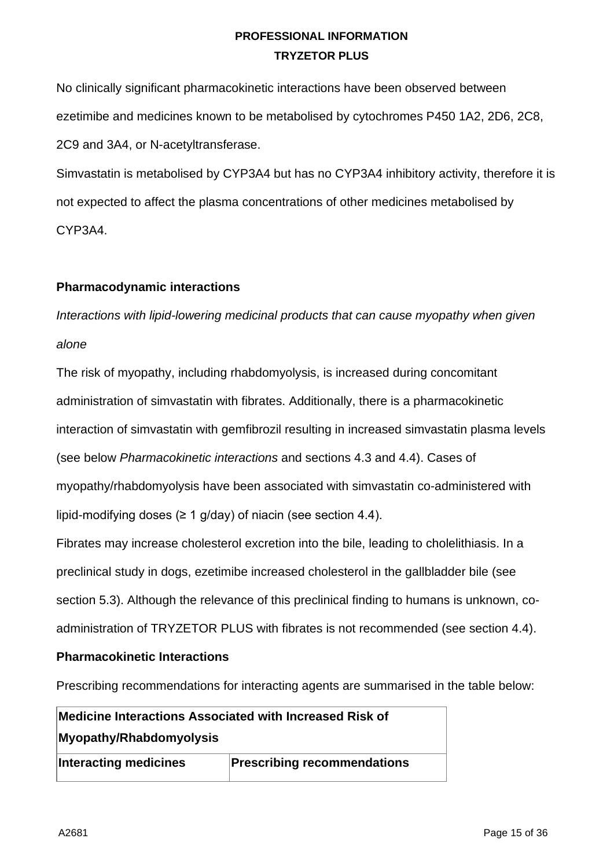No clinically significant pharmacokinetic interactions have been observed between ezetimibe and medicines known to be metabolised by cytochromes P450 1A2, 2D6, 2C8, 2C9 and 3A4, or N-acetyltransferase.

Simvastatin is metabolised by CYP3A4 but has no CYP3A4 inhibitory activity, therefore it is not expected to affect the plasma concentrations of other medicines metabolised by CYP3A4.

### **Pharmacodynamic interactions**

*Interactions with lipid-lowering medicinal products that can cause myopathy when given alone*

The risk of myopathy, including rhabdomyolysis, is increased during concomitant administration of simvastatin with fibrates. Additionally, there is a pharmacokinetic interaction of simvastatin with gemfibrozil resulting in increased simvastatin plasma levels (see below *Pharmacokinetic interactions* and sections 4.3 and 4.4). Cases of myopathy/rhabdomyolysis have been associated with simvastatin co-administered with lipid-modifying doses ( $\geq 1$  g/day) of niacin (see section 4.4).

Fibrates may increase cholesterol excretion into the bile, leading to cholelithiasis. In a preclinical study in dogs, ezetimibe increased cholesterol in the gallbladder bile (see section 5.3). Although the relevance of this preclinical finding to humans is unknown, coadministration of TRYZETOR PLUS with fibrates is not recommended (see section 4.4).

### **Pharmacokinetic Interactions**

Prescribing recommendations for interacting agents are summarised in the table below:

| Medicine Interactions Associated with Increased Risk of |                                    |
|---------------------------------------------------------|------------------------------------|
| Myopathy/Rhabdomyolysis                                 |                                    |
| Interacting medicines                                   | <b>Prescribing recommendations</b> |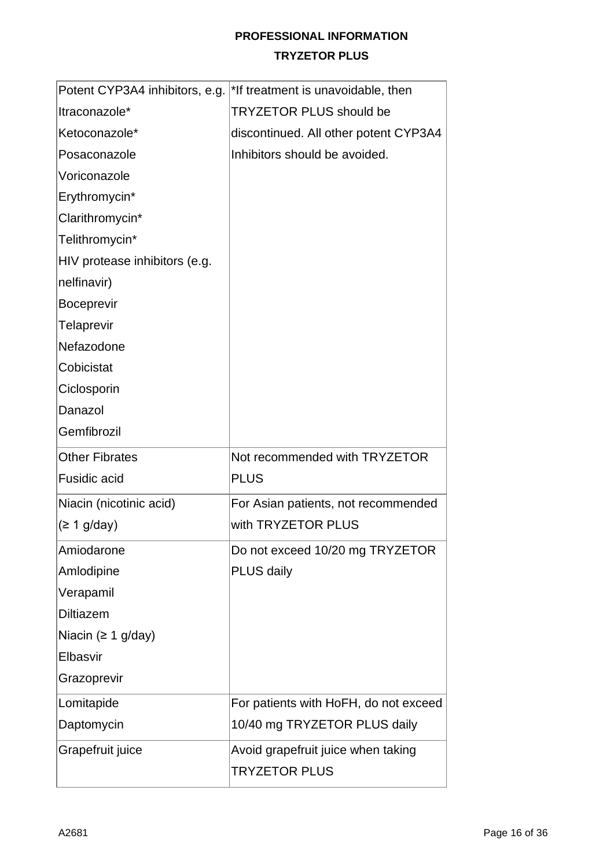|                               | Potent CYP3A4 inhibitors, e.g. <sup>*</sup> If treatment is unavoidable, then |
|-------------------------------|-------------------------------------------------------------------------------|
| Itraconazole*                 | <b>TRYZETOR PLUS should be</b>                                                |
| Ketoconazole*                 | discontinued. All other potent CYP3A4                                         |
| Posaconazole                  | Inhibitors should be avoided.                                                 |
| Voriconazole                  |                                                                               |
| Erythromycin*                 |                                                                               |
| Clarithromycin*               |                                                                               |
| Telithromycin*                |                                                                               |
| HIV protease inhibitors (e.g. |                                                                               |
| nelfinavir)                   |                                                                               |
| <b>Boceprevir</b>             |                                                                               |
| <b>Telaprevir</b>             |                                                                               |
| Nefazodone                    |                                                                               |
| Cobicistat                    |                                                                               |
| Ciclosporin                   |                                                                               |
| Danazol                       |                                                                               |
| Gemfibrozil                   |                                                                               |
| <b>Other Fibrates</b>         | Not recommended with TRYZETOR                                                 |
| <b>Fusidic acid</b>           | <b>PLUS</b>                                                                   |
| Niacin (nicotinic acid)       | For Asian patients, not recommended                                           |
| (≥ 1 g/day)                   | with TRYZETOR PLUS                                                            |
| Amiodarone                    | Do not exceed 10/20 mg TRYZETOR                                               |
| Amlodipine                    | <b>PLUS daily</b>                                                             |
| Verapamil                     |                                                                               |
| <b>Diltiazem</b>              |                                                                               |
| Niacin ( $\geq 1$ g/day)      |                                                                               |
| Elbasvir                      |                                                                               |
| Grazoprevir                   |                                                                               |
| Lomitapide                    | For patients with HoFH, do not exceed                                         |
| Daptomycin                    | 10/40 mg TRYZETOR PLUS daily                                                  |
| Grapefruit juice              | Avoid grapefruit juice when taking                                            |
|                               | <b>TRYZETOR PLUS</b>                                                          |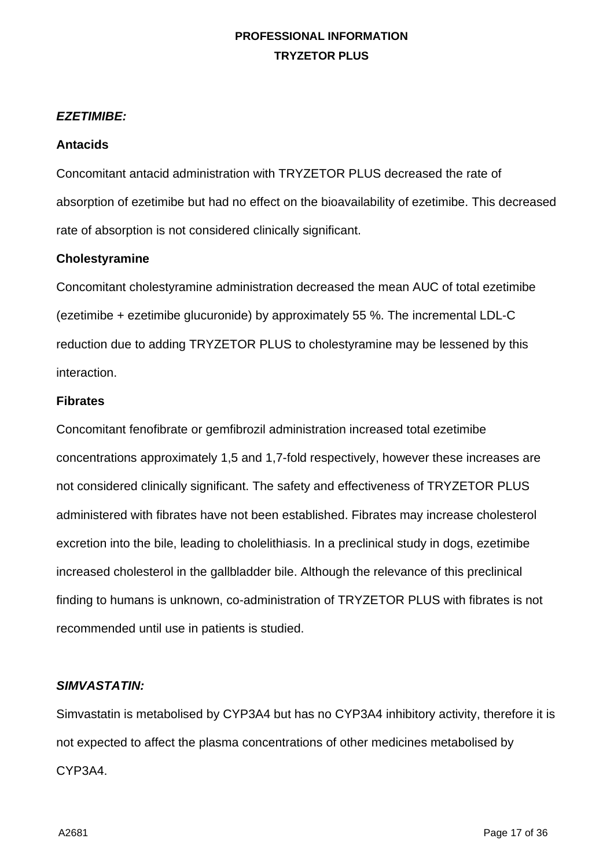#### *EZETIMIBE:*

#### **Antacids**

Concomitant antacid administration with TRYZETOR PLUS decreased the rate of absorption of ezetimibe but had no effect on the bioavailability of ezetimibe. This decreased rate of absorption is not considered clinically significant.

#### **Cholestyramine**

Concomitant cholestyramine administration decreased the mean AUC of total ezetimibe (ezetimibe + ezetimibe glucuronide) by approximately 55 %. The incremental LDL-C reduction due to adding TRYZETOR PLUS to cholestyramine may be lessened by this interaction.

#### **Fibrates**

Concomitant fenofibrate or gemfibrozil administration increased total ezetimibe concentrations approximately 1,5 and 1,7-fold respectively, however these increases are not considered clinically significant. The safety and effectiveness of TRYZETOR PLUS administered with fibrates have not been established. Fibrates may increase cholesterol excretion into the bile, leading to cholelithiasis. In a preclinical study in dogs, ezetimibe increased cholesterol in the gallbladder bile. Although the relevance of this preclinical finding to humans is unknown, co-administration of TRYZETOR PLUS with fibrates is not recommended until use in patients is studied.

#### *SIMVASTATIN:*

Simvastatin is metabolised by CYP3A4 but has no CYP3A4 inhibitory activity, therefore it is not expected to affect the plasma concentrations of other medicines metabolised by CYP3A4.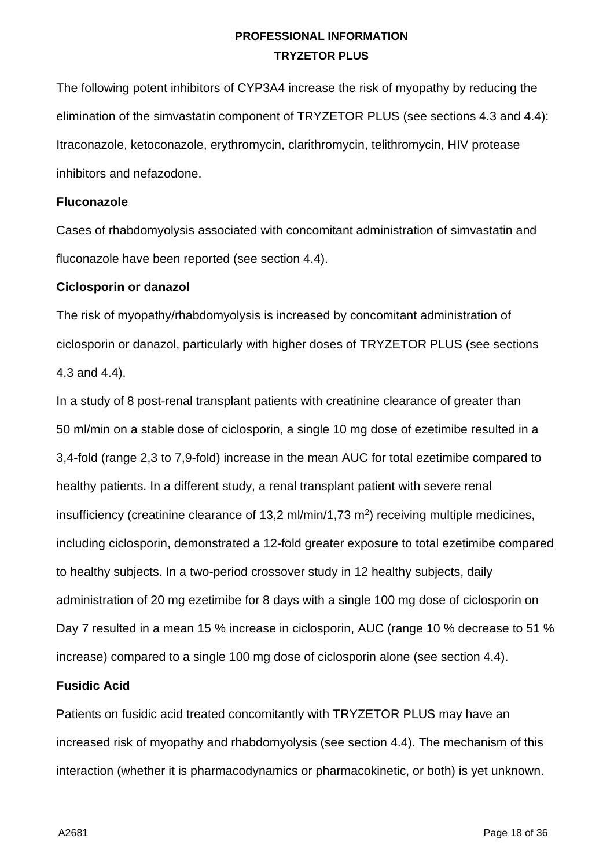The following potent inhibitors of CYP3A4 increase the risk of myopathy by reducing the elimination of the simvastatin component of TRYZETOR PLUS (see sections 4.3 and 4.4): Itraconazole, ketoconazole, erythromycin, clarithromycin, telithromycin, HIV protease inhibitors and nefazodone.

#### **Fluconazole**

Cases of rhabdomyolysis associated with concomitant administration of simvastatin and fluconazole have been reported (see section 4.4).

#### **Ciclosporin or danazol**

The risk of myopathy/rhabdomyolysis is increased by concomitant administration of ciclosporin or danazol, particularly with higher doses of TRYZETOR PLUS (see sections 4.3 and 4.4).

In a study of 8 post-renal transplant patients with creatinine clearance of greater than 50 ml/min on a stable dose of ciclosporin, a single 10 mg dose of ezetimibe resulted in a 3,4-fold (range 2,3 to 7,9-fold) increase in the mean AUC for total ezetimibe compared to healthy patients. In a different study, a renal transplant patient with severe renal insufficiency (creatinine clearance of 13,2 ml/min/1,73 m2) receiving multiple medicines, including ciclosporin, demonstrated a 12-fold greater exposure to total ezetimibe compared to healthy subjects. In a two-period crossover study in 12 healthy subjects, daily administration of 20 mg ezetimibe for 8 days with a single 100 mg dose of ciclosporin on Day 7 resulted in a mean 15 % increase in ciclosporin, AUC (range 10 % decrease to 51 % increase) compared to a single 100 mg dose of ciclosporin alone (see section 4.4).

#### **Fusidic Acid**

Patients on fusidic acid treated concomitantly with TRYZETOR PLUS may have an increased risk of myopathy and rhabdomyolysis (see section 4.4). The mechanism of this interaction (whether it is pharmacodynamics or pharmacokinetic, or both) is yet unknown.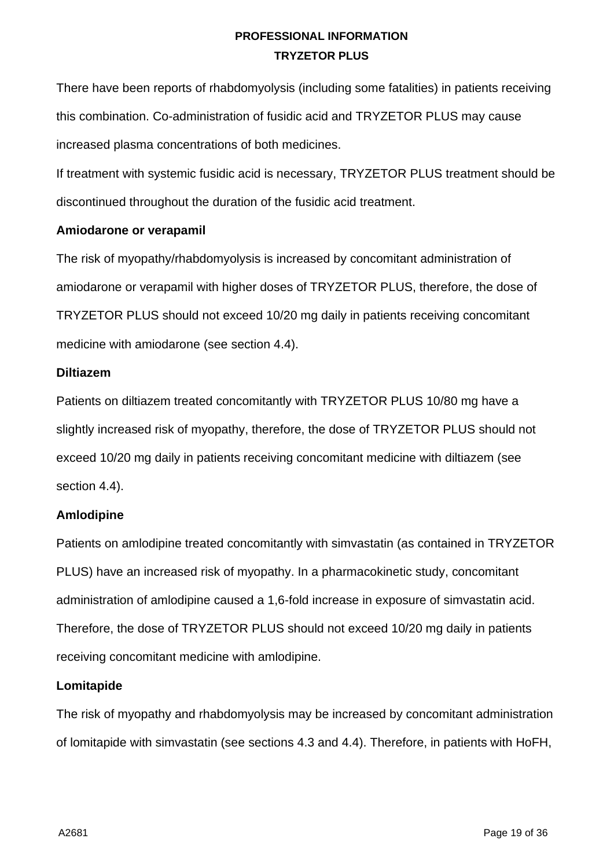There have been reports of rhabdomyolysis (including some fatalities) in patients receiving this combination. Co-administration of fusidic acid and TRYZETOR PLUS may cause increased plasma concentrations of both medicines.

If treatment with systemic fusidic acid is necessary, TRYZETOR PLUS treatment should be discontinued throughout the duration of the fusidic acid treatment.

#### **Amiodarone or verapamil**

The risk of myopathy/rhabdomyolysis is increased by concomitant administration of amiodarone or verapamil with higher doses of TRYZETOR PLUS, therefore, the dose of TRYZETOR PLUS should not exceed 10/20 mg daily in patients receiving concomitant medicine with amiodarone (see section 4.4).

#### **Diltiazem**

Patients on diltiazem treated concomitantly with TRYZETOR PLUS 10/80 mg have a slightly increased risk of myopathy, therefore, the dose of TRYZETOR PLUS should not exceed 10/20 mg daily in patients receiving concomitant medicine with diltiazem (see section 4.4).

### **Amlodipine**

Patients on amlodipine treated concomitantly with simvastatin (as contained in TRYZETOR PLUS) have an increased risk of myopathy. In a pharmacokinetic study, concomitant administration of amlodipine caused a 1,6-fold increase in exposure of simvastatin acid. Therefore, the dose of TRYZETOR PLUS should not exceed 10/20 mg daily in patients receiving concomitant medicine with amlodipine.

#### **Lomitapide**

The risk of myopathy and rhabdomyolysis may be increased by concomitant administration of lomitapide with simvastatin (see sections 4.3 and 4.4). Therefore, in patients with HoFH,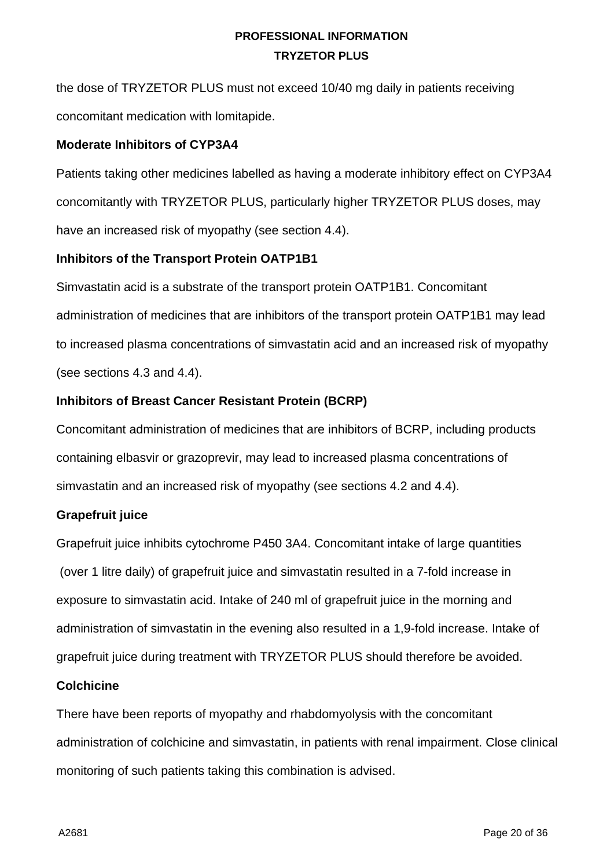the dose of TRYZETOR PLUS must not exceed 10/40 mg daily in patients receiving concomitant medication with lomitapide.

#### **Moderate Inhibitors of CYP3A4**

Patients taking other medicines labelled as having a moderate inhibitory effect on CYP3A4 concomitantly with TRYZETOR PLUS, particularly higher TRYZETOR PLUS doses, may have an increased risk of myopathy (see section 4.4).

### **Inhibitors of the Transport Protein OATP1B1**

Simvastatin acid is a substrate of the transport protein OATP1B1. Concomitant administration of medicines that are inhibitors of the transport protein OATP1B1 may lead to increased plasma concentrations of simvastatin acid and an increased risk of myopathy (see sections 4.3 and 4.4).

### **Inhibitors of Breast Cancer Resistant Protein (BCRP)**

Concomitant administration of medicines that are inhibitors of BCRP, including products containing elbasvir or grazoprevir, may lead to increased plasma concentrations of simvastatin and an increased risk of myopathy (see sections 4.2 and 4.4).

### **Grapefruit juice**

Grapefruit juice inhibits cytochrome P450 3A4. Concomitant intake of large quantities (over 1 litre daily) of grapefruit juice and simvastatin resulted in a 7-fold increase in exposure to simvastatin acid. Intake of 240 ml of grapefruit juice in the morning and administration of simvastatin in the evening also resulted in a 1,9-fold increase. Intake of grapefruit juice during treatment with TRYZETOR PLUS should therefore be avoided.

### **Colchicine**

There have been reports of myopathy and rhabdomyolysis with the concomitant administration of colchicine and simvastatin, in patients with renal impairment. Close clinical monitoring of such patients taking this combination is advised.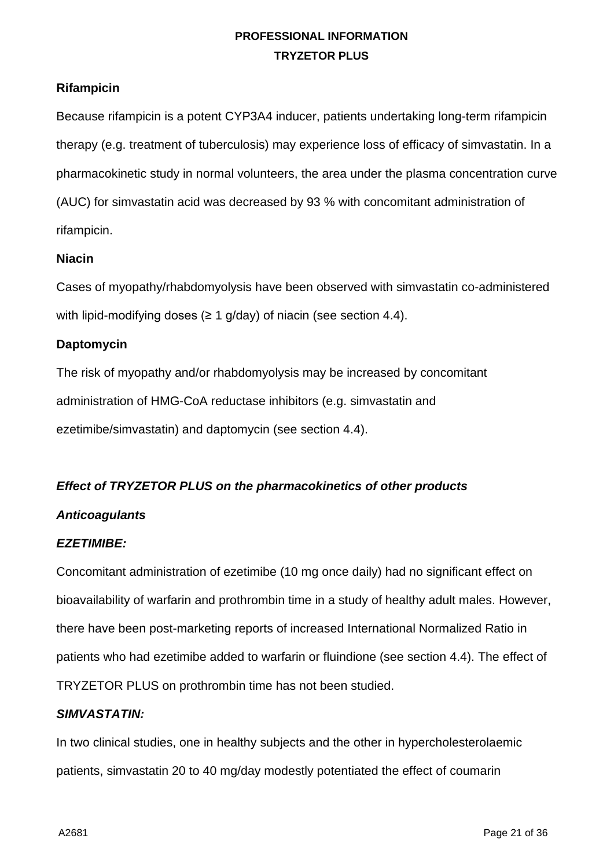### **Rifampicin**

Because rifampicin is a potent CYP3A4 inducer, patients undertaking long-term rifampicin therapy (e.g. treatment of tuberculosis) may experience loss of efficacy of simvastatin. In a pharmacokinetic study in normal volunteers, the area under the plasma concentration curve (AUC) for simvastatin acid was decreased by 93 % with concomitant administration of rifampicin.

#### **Niacin**

Cases of myopathy/rhabdomyolysis have been observed with simvastatin co-administered with lipid-modifying doses ( $\geq 1$  g/day) of niacin (see section 4.4).

### **Daptomycin**

The risk of myopathy and/or rhabdomyolysis may be increased by concomitant administration of HMG-CoA reductase inhibitors (e.g. simvastatin and ezetimibe/simvastatin) and daptomycin (see section 4.4).

### *Effect of TRYZETOR PLUS on the pharmacokinetics of other products*

### *Anticoagulants*

### *EZETIMIBE:*

Concomitant administration of ezetimibe (10 mg once daily) had no significant effect on bioavailability of warfarin and prothrombin time in a study of healthy adult males. However, there have been post-marketing reports of increased International Normalized Ratio in patients who had ezetimibe added to warfarin or fluindione (see section 4.4). The effect of TRYZETOR PLUS on prothrombin time has not been studied.

#### *SIMVASTATIN:*

In two clinical studies, one in healthy subjects and the other in hypercholesterolaemic patients, simvastatin 20 to 40 mg/day modestly potentiated the effect of coumarin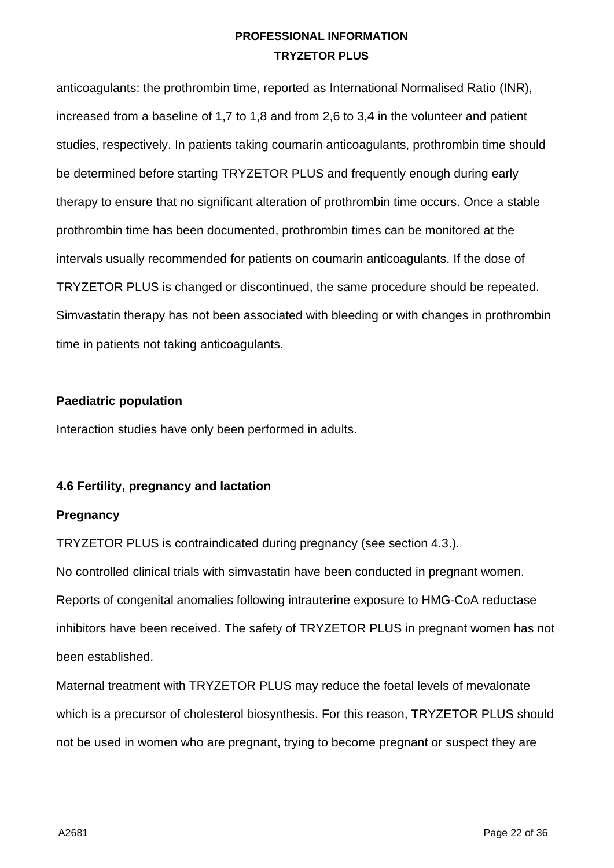anticoagulants: the prothrombin time, reported as International Normalised Ratio (INR), increased from a baseline of 1,7 to 1,8 and from 2,6 to 3,4 in the volunteer and patient studies, respectively. In patients taking coumarin anticoagulants, prothrombin time should be determined before starting TRYZETOR PLUS and frequently enough during early therapy to ensure that no significant alteration of prothrombin time occurs. Once a stable prothrombin time has been documented, prothrombin times can be monitored at the intervals usually recommended for patients on coumarin anticoagulants. If the dose of TRYZETOR PLUS is changed or discontinued, the same procedure should be repeated. Simvastatin therapy has not been associated with bleeding or with changes in prothrombin time in patients not taking anticoagulants.

#### **Paediatric population**

Interaction studies have only been performed in adults.

### **4.6 Fertility, pregnancy and lactation**

### **Pregnancy**

TRYZETOR PLUS is contraindicated during pregnancy (see section 4.3.).

No controlled clinical trials with simvastatin have been conducted in pregnant women. Reports of congenital anomalies following intrauterine exposure to HMG-CoA reductase inhibitors have been received. The safety of TRYZETOR PLUS in pregnant women has not been established.

Maternal treatment with TRYZETOR PLUS may reduce the foetal levels of mevalonate which is a precursor of cholesterol biosynthesis. For this reason, TRYZETOR PLUS should not be used in women who are pregnant, trying to become pregnant or suspect they are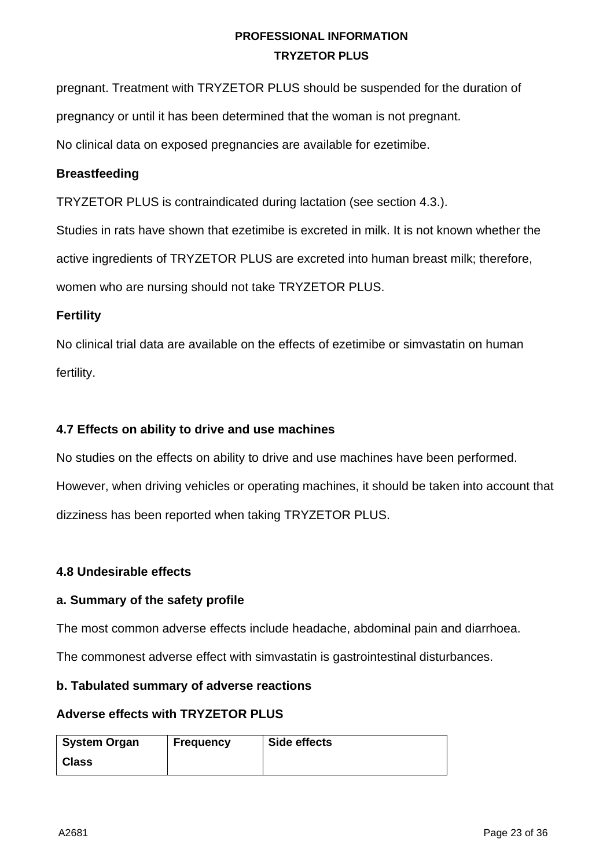pregnant. Treatment with TRYZETOR PLUS should be suspended for the duration of

pregnancy or until it has been determined that the woman is not pregnant.

No clinical data on exposed pregnancies are available for ezetimibe.

### **Breastfeeding**

TRYZETOR PLUS is contraindicated during lactation (see section 4.3.).

Studies in rats have shown that ezetimibe is excreted in milk. It is not known whether the

active ingredients of TRYZETOR PLUS are excreted into human breast milk; therefore,

women who are nursing should not take TRYZETOR PLUS.

#### **Fertility**

No clinical trial data are available on the effects of ezetimibe or simvastatin on human fertility.

### **4.7 Effects on ability to drive and use machines**

No studies on the effects on ability to drive and use machines have been performed. However, when driving vehicles or operating machines, it should be taken into account that dizziness has been reported when taking TRYZETOR PLUS.

### **4.8 Undesirable effects**

### **a. Summary of the safety profile**

The most common adverse effects include headache, abdominal pain and diarrhoea.

The commonest adverse effect with simvastatin is gastrointestinal disturbances.

#### **b. Tabulated summary of adverse reactions**

#### **Adverse effects with TRYZETOR PLUS**

| System Organ | <b>Frequency</b> | Side effects |
|--------------|------------------|--------------|
| <b>Class</b> |                  |              |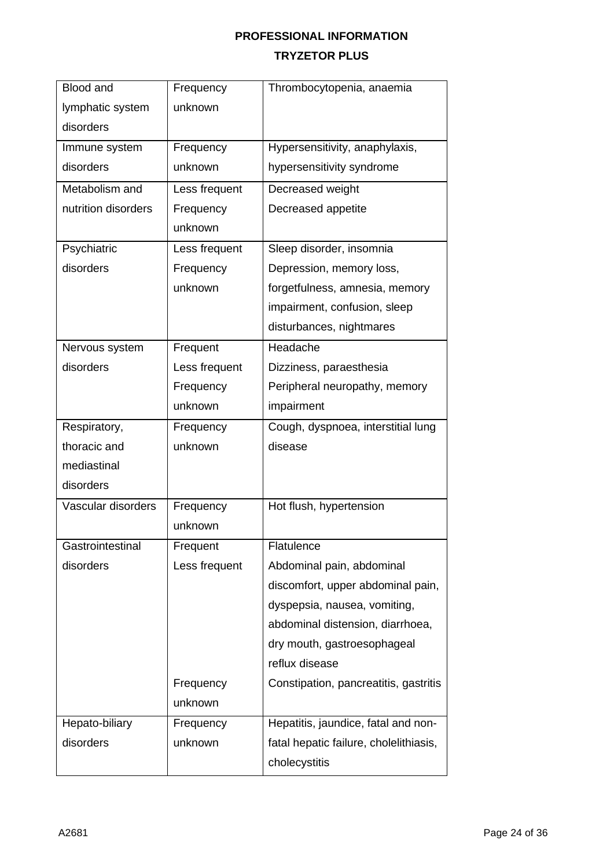| <b>Blood and</b>    | Frequency     | Thrombocytopenia, anaemia              |
|---------------------|---------------|----------------------------------------|
| lymphatic system    | unknown       |                                        |
| disorders           |               |                                        |
| Immune system       | Frequency     | Hypersensitivity, anaphylaxis,         |
| disorders           | unknown       | hypersensitivity syndrome              |
| Metabolism and      | Less frequent | Decreased weight                       |
| nutrition disorders | Frequency     | Decreased appetite                     |
|                     | unknown       |                                        |
| Psychiatric         | Less frequent | Sleep disorder, insomnia               |
| disorders           | Frequency     | Depression, memory loss,               |
|                     | unknown       | forgetfulness, amnesia, memory         |
|                     |               | impairment, confusion, sleep           |
|                     |               | disturbances, nightmares               |
| Nervous system      | Frequent      | Headache                               |
| disorders           | Less frequent | Dizziness, paraesthesia                |
|                     | Frequency     | Peripheral neuropathy, memory          |
|                     | unknown       | impairment                             |
| Respiratory,        | Frequency     | Cough, dyspnoea, interstitial lung     |
| thoracic and        | unknown       | disease                                |
| mediastinal         |               |                                        |
| disorders           |               |                                        |
| Vascular disorders  | Frequency     | Hot flush, hypertension                |
|                     | unknown       |                                        |
| Gastrointestinal    | Frequent      | Flatulence                             |
| disorders           | Less frequent | Abdominal pain, abdominal              |
|                     |               | discomfort, upper abdominal pain,      |
|                     |               | dyspepsia, nausea, vomiting,           |
|                     |               | abdominal distension, diarrhoea,       |
|                     |               | dry mouth, gastroesophageal            |
|                     |               | reflux disease                         |
|                     | Frequency     | Constipation, pancreatitis, gastritis  |
|                     | unknown       |                                        |
| Hepato-biliary      | Frequency     | Hepatitis, jaundice, fatal and non-    |
| disorders           | unknown       | fatal hepatic failure, cholelithiasis, |
|                     |               | cholecystitis                          |
|                     |               |                                        |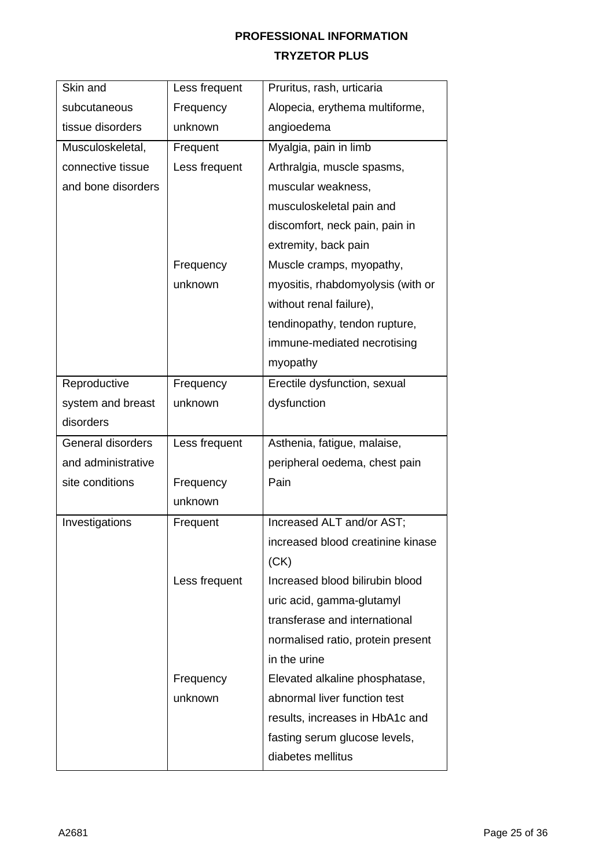| Skin and           | Less frequent | Pruritus, rash, urticaria         |
|--------------------|---------------|-----------------------------------|
| subcutaneous       | Frequency     | Alopecia, erythema multiforme,    |
| tissue disorders   | unknown       | angioedema                        |
| Musculoskeletal,   | Frequent      | Myalgia, pain in limb             |
| connective tissue  | Less frequent | Arthralgia, muscle spasms,        |
| and bone disorders |               | muscular weakness,                |
|                    |               | musculoskeletal pain and          |
|                    |               | discomfort, neck pain, pain in    |
|                    |               | extremity, back pain              |
|                    | Frequency     | Muscle cramps, myopathy,          |
|                    | unknown       | myositis, rhabdomyolysis (with or |
|                    |               | without renal failure),           |
|                    |               | tendinopathy, tendon rupture,     |
|                    |               | immune-mediated necrotising       |
|                    |               | myopathy                          |
| Reproductive       | Frequency     | Erectile dysfunction, sexual      |
| system and breast  | unknown       | dysfunction                       |
| disorders          |               |                                   |
| General disorders  | Less frequent | Asthenia, fatigue, malaise,       |
| and administrative |               | peripheral oedema, chest pain     |
| site conditions    | Frequency     | Pain                              |
|                    | unknown       |                                   |
| Investigations     | Frequent      | Increased ALT and/or AST;         |
|                    |               | increased blood creatinine kinase |
|                    |               | (CK)                              |
|                    | Less frequent | Increased blood bilirubin blood   |
|                    |               | uric acid, gamma-glutamyl         |
|                    |               | transferase and international     |
|                    |               | normalised ratio, protein present |
|                    |               | in the urine                      |
|                    | Frequency     | Elevated alkaline phosphatase,    |
|                    | unknown       | abnormal liver function test      |
|                    |               | results, increases in HbA1c and   |
|                    |               | fasting serum glucose levels,     |
|                    |               | diabetes mellitus                 |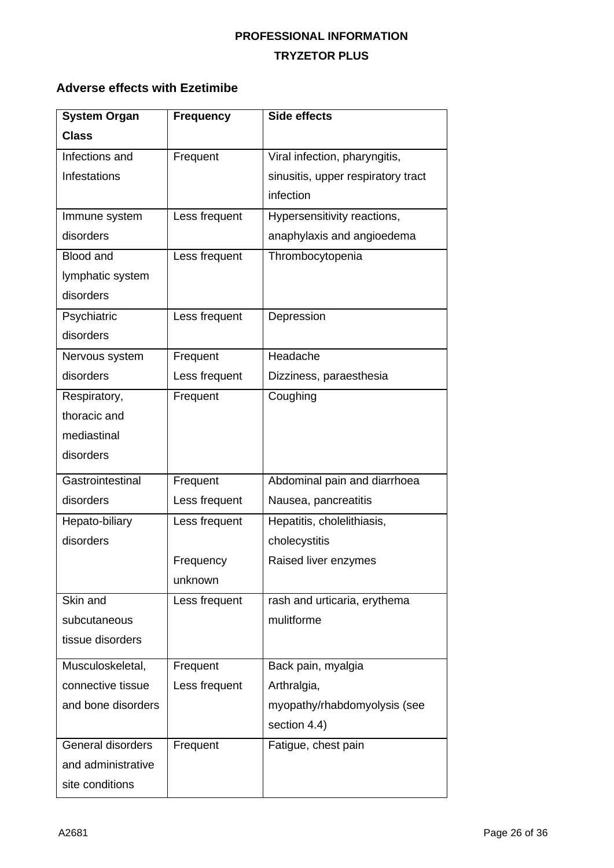# **Adverse effects with Ezetimibe**

| <b>System Organ</b> | <b>Frequency</b> | <b>Side effects</b>                |
|---------------------|------------------|------------------------------------|
| <b>Class</b>        |                  |                                    |
| Infections and      | Frequent         | Viral infection, pharyngitis,      |
| Infestations        |                  | sinusitis, upper respiratory tract |
|                     |                  | infection                          |
| Immune system       | Less frequent    | Hypersensitivity reactions,        |
| disorders           |                  | anaphylaxis and angioedema         |
| <b>Blood and</b>    | Less frequent    | Thrombocytopenia                   |
| lymphatic system    |                  |                                    |
| disorders           |                  |                                    |
| Psychiatric         | Less frequent    | Depression                         |
| disorders           |                  |                                    |
| Nervous system      | Frequent         | Headache                           |
| disorders           | Less frequent    | Dizziness, paraesthesia            |
| Respiratory,        | Frequent         | Coughing                           |
| thoracic and        |                  |                                    |
| mediastinal         |                  |                                    |
| disorders           |                  |                                    |
| Gastrointestinal    | Frequent         | Abdominal pain and diarrhoea       |
| disorders           | Less frequent    | Nausea, pancreatitis               |
| Hepato-biliary      | Less frequent    | Hepatitis, cholelithiasis,         |
| disorders           |                  | cholecystitis                      |
|                     | Frequency        | Raised liver enzymes               |
|                     | unknown          |                                    |
| Skin and            | Less frequent    | rash and urticaria, erythema       |
| subcutaneous        |                  | mulitforme                         |
| tissue disorders    |                  |                                    |
| Musculoskeletal,    | Frequent         | Back pain, myalgia                 |
| connective tissue   | Less frequent    | Arthralgia,                        |
| and bone disorders  |                  | myopathy/rhabdomyolysis (see       |
|                     |                  | section 4.4)                       |
| General disorders   | Frequent         | Fatigue, chest pain                |
| and administrative  |                  |                                    |
| site conditions     |                  |                                    |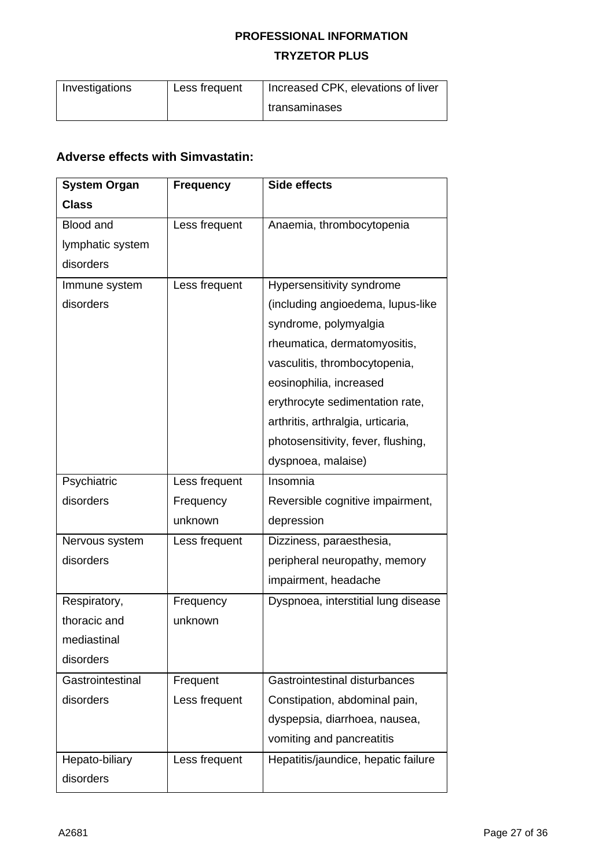| Investigations | Less frequent | Increased CPK, elevations of liver |
|----------------|---------------|------------------------------------|
|                |               | I transaminases                    |

# **Adverse effects with Simvastatin:**

| <b>System Organ</b> | <b>Frequency</b> | Side effects                        |
|---------------------|------------------|-------------------------------------|
| <b>Class</b>        |                  |                                     |
| <b>Blood and</b>    | Less frequent    | Anaemia, thrombocytopenia           |
| lymphatic system    |                  |                                     |
| disorders           |                  |                                     |
| Immune system       | Less frequent    | Hypersensitivity syndrome           |
| disorders           |                  | (including angioedema, lupus-like   |
|                     |                  | syndrome, polymyalgia               |
|                     |                  | rheumatica, dermatomyositis,        |
|                     |                  | vasculitis, thrombocytopenia,       |
|                     |                  | eosinophilia, increased             |
|                     |                  | erythrocyte sedimentation rate,     |
|                     |                  | arthritis, arthralgia, urticaria,   |
|                     |                  | photosensitivity, fever, flushing,  |
|                     |                  | dyspnoea, malaise)                  |
| Psychiatric         | Less frequent    | Insomnia                            |
| disorders           | Frequency        | Reversible cognitive impairment,    |
|                     | unknown          | depression                          |
| Nervous system      | Less frequent    | Dizziness, paraesthesia,            |
| disorders           |                  | peripheral neuropathy, memory       |
|                     |                  | impairment, headache                |
| Respiratory,        | Frequency        | Dyspnoea, interstitial lung disease |
| thoracic and        | unknown          |                                     |
| mediastinal         |                  |                                     |
| disorders           |                  |                                     |
| Gastrointestinal    | Frequent         | Gastrointestinal disturbances       |
| disorders           | Less frequent    | Constipation, abdominal pain,       |
|                     |                  | dyspepsia, diarrhoea, nausea,       |
|                     |                  | vomiting and pancreatitis           |
| Hepato-biliary      | Less frequent    | Hepatitis/jaundice, hepatic failure |
| disorders           |                  |                                     |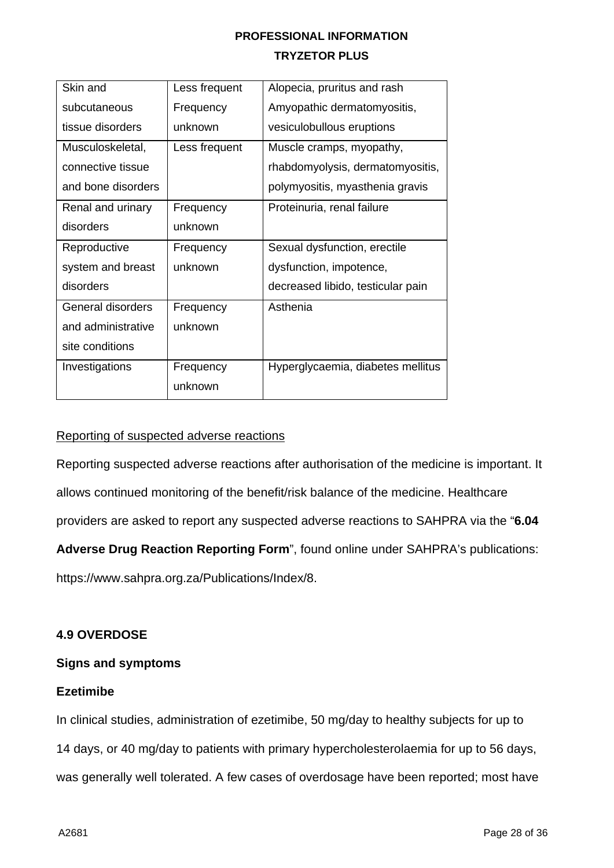| Skin and           | Less frequent | Alopecia, pruritus and rash       |
|--------------------|---------------|-----------------------------------|
| subcutaneous       | Frequency     | Amyopathic dermatomyositis,       |
| tissue disorders   | unknown       | vesiculobullous eruptions         |
| Musculoskeletal,   | Less frequent | Muscle cramps, myopathy,          |
| connective tissue  |               | rhabdomyolysis, dermatomyositis,  |
| and bone disorders |               | polymyositis, myasthenia gravis   |
| Renal and urinary  | Frequency     | Proteinuria, renal failure        |
| disorders          | unknown       |                                   |
| Reproductive       | Frequency     | Sexual dysfunction, erectile      |
| system and breast  | unknown       | dysfunction, impotence,           |
| disorders          |               | decreased libido, testicular pain |
| General disorders  | Frequency     | Asthenia                          |
| and administrative | unknown       |                                   |
| site conditions    |               |                                   |
| Investigations     | Frequency     | Hyperglycaemia, diabetes mellitus |
|                    |               |                                   |

#### Reporting of suspected adverse reactions

Reporting suspected adverse reactions after authorisation of the medicine is important. It allows continued monitoring of the benefit/risk balance of the medicine. Healthcare providers are asked to report any suspected adverse reactions to SAHPRA via the "**6.04 Adverse Drug Reaction Reporting Form**", found online under SAHPRA's publications: [https://www.sahpra.org.za/Publications/Index/8.](https://www.sahpra.org.za/Publications/Index/8)

### **4.9 OVERDOSE**

### **Signs and symptoms**

#### **Ezetimibe**

In clinical studies, administration of ezetimibe, 50 mg/day to healthy subjects for up to 14 days, or 40 mg/day to patients with primary hypercholesterolaemia for up to 56 days, was generally well tolerated. A few cases of overdosage have been reported; most have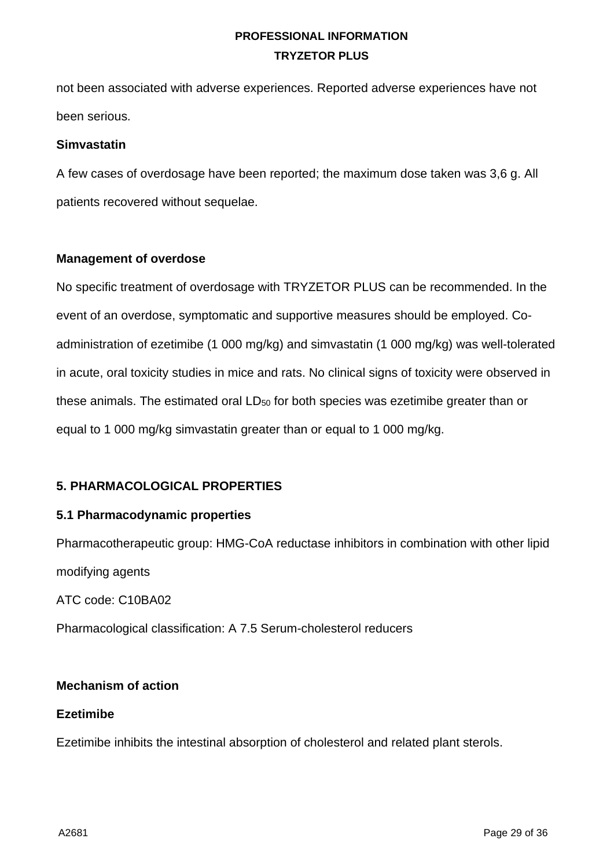not been associated with adverse experiences. Reported adverse experiences have not been serious.

#### **Simvastatin**

A few cases of overdosage have been reported; the maximum dose taken was 3,6 g. All patients recovered without sequelae.

#### **Management of overdose**

No specific treatment of overdosage with TRYZETOR PLUS can be recommended. In the event of an overdose, symptomatic and supportive measures should be employed. Coadministration of ezetimibe (1 000 mg/kg) and simvastatin (1 000 mg/kg) was well-tolerated in acute, oral toxicity studies in mice and rats. No clinical signs of toxicity were observed in these animals. The estimated oral LD<sub>50</sub> for both species was ezetimibe greater than or equal to 1 000 mg/kg simvastatin greater than or equal to 1 000 mg/kg.

# **5. PHARMACOLOGICAL PROPERTIES**

### **5.1 Pharmacodynamic properties**

Pharmacotherapeutic group: HMG-CoA reductase inhibitors in combination with other lipid modifying agents

ATC code: C10BA02

Pharmacological classification: A 7.5 Serum-cholesterol reducers

### **Mechanism of action**

#### **Ezetimibe**

Ezetimibe inhibits the intestinal absorption of cholesterol and related plant sterols.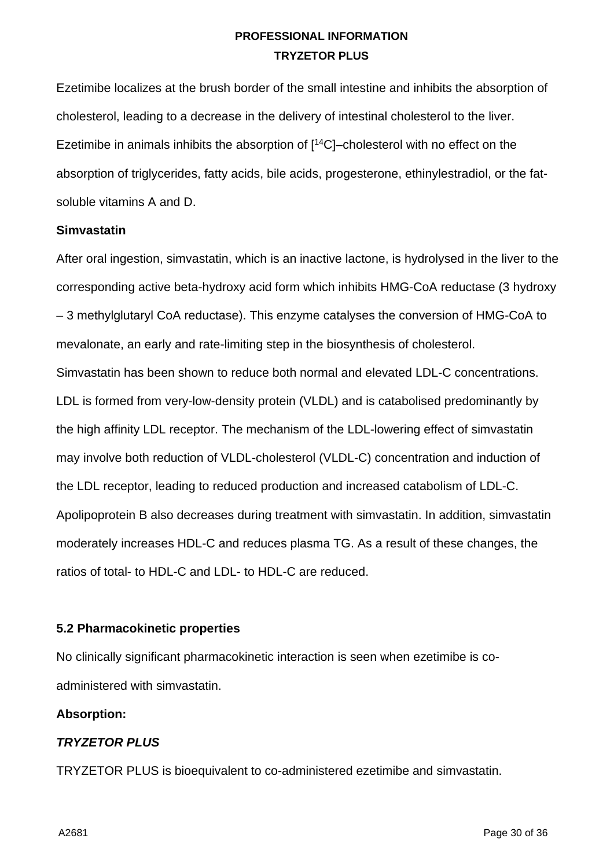Ezetimibe localizes at the brush border of the small intestine and inhibits the absorption of cholesterol, leading to a decrease in the delivery of intestinal cholesterol to the liver. Ezetimibe in animals inhibits the absorption of [ 14C]–cholesterol with no effect on the absorption of triglycerides, fatty acids, bile acids, progesterone, ethinylestradiol, or the fatsoluble vitamins A and D.

#### **Simvastatin**

After oral ingestion, simvastatin, which is an inactive lactone, is hydrolysed in the liver to the corresponding active beta-hydroxy acid form which inhibits HMG-CoA reductase (3 hydroxy – 3 methylglutaryl CoA reductase). This enzyme catalyses the conversion of HMG-CoA to mevalonate, an early and rate-limiting step in the biosynthesis of cholesterol. Simvastatin has been shown to reduce both normal and elevated LDL-C concentrations. LDL is formed from very-low-density protein (VLDL) and is catabolised predominantly by the high affinity LDL receptor. The mechanism of the LDL-lowering effect of simvastatin may involve both reduction of VLDL-cholesterol (VLDL-C) concentration and induction of the LDL receptor, leading to reduced production and increased catabolism of LDL-C. Apolipoprotein B also decreases during treatment with simvastatin. In addition, simvastatin moderately increases HDL-C and reduces plasma TG. As a result of these changes, the ratios of total- to HDL-C and LDL- to HDL-C are reduced.

### **5.2 Pharmacokinetic properties**

No clinically significant pharmacokinetic interaction is seen when ezetimibe is coadministered with simvastatin.

#### **Absorption:**

### *TRYZETOR PLUS*

TRYZETOR PLUS is bioequivalent to co-administered ezetimibe and simvastatin.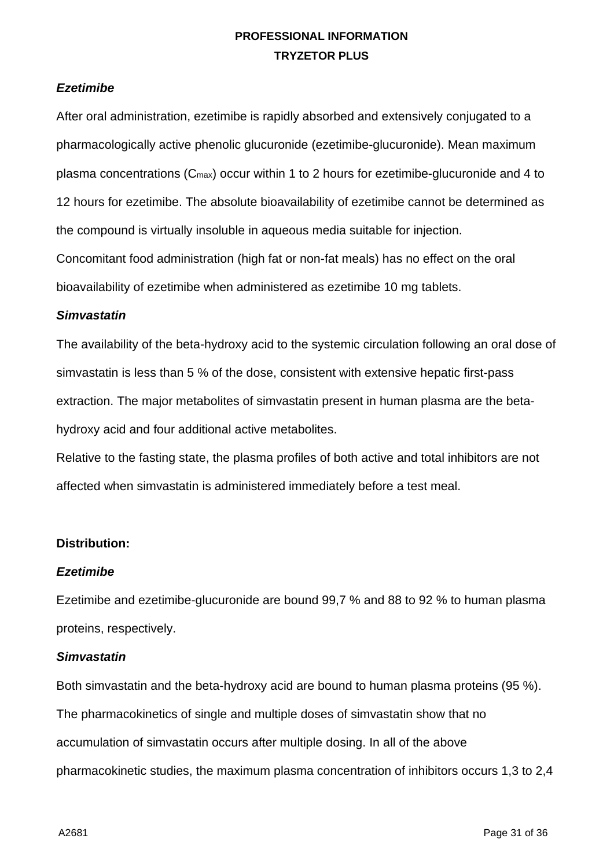### *Ezetimibe*

After oral administration, ezetimibe is rapidly absorbed and extensively conjugated to a pharmacologically active phenolic glucuronide (ezetimibe-glucuronide). Mean maximum plasma concentrations (Cmax) occur within 1 to 2 hours for ezetimibe-glucuronide and 4 to 12 hours for ezetimibe. The absolute bioavailability of ezetimibe cannot be determined as the compound is virtually insoluble in aqueous media suitable for injection. Concomitant food administration (high fat or non-fat meals) has no effect on the oral bioavailability of ezetimibe when administered as ezetimibe 10 mg tablets.

#### *Simvastatin*

The availability of the beta-hydroxy acid to the systemic circulation following an oral dose of simvastatin is less than 5 % of the dose, consistent with extensive hepatic first-pass extraction. The major metabolites of simvastatin present in human plasma are the betahydroxy acid and four additional active metabolites.

Relative to the fasting state, the plasma profiles of both active and total inhibitors are not affected when simvastatin is administered immediately before a test meal.

#### **Distribution:**

#### *Ezetimibe*

Ezetimibe and ezetimibe-glucuronide are bound 99,7 % and 88 to 92 % to human plasma proteins, respectively.

#### *Simvastatin*

Both simvastatin and the beta-hydroxy acid are bound to human plasma proteins (95 %). The pharmacokinetics of single and multiple doses of simvastatin show that no accumulation of simvastatin occurs after multiple dosing. In all of the above pharmacokinetic studies, the maximum plasma concentration of inhibitors occurs 1,3 to 2,4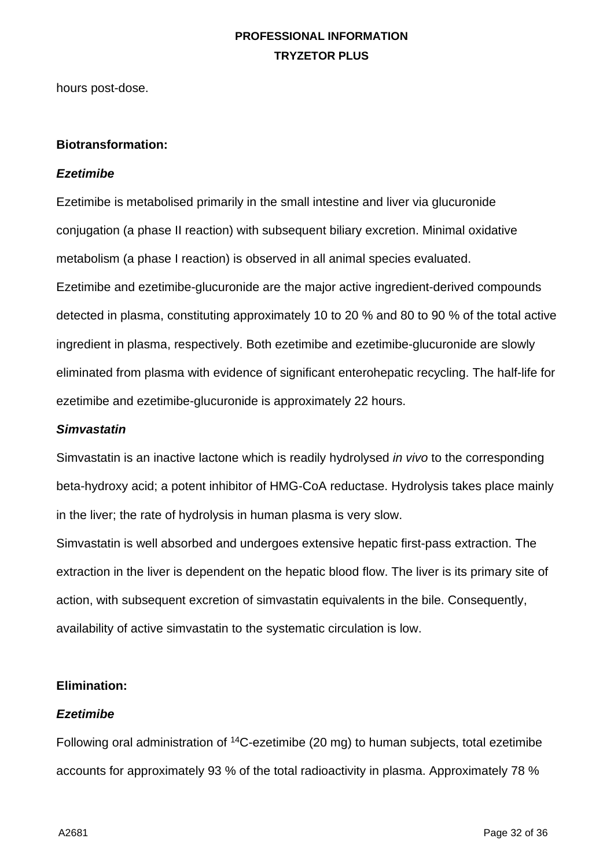hours post-dose.

#### **Biotransformation:**

#### *Ezetimibe*

Ezetimibe is metabolised primarily in the small intestine and liver via glucuronide conjugation (a phase II reaction) with subsequent biliary excretion. Minimal oxidative metabolism (a phase I reaction) is observed in all animal species evaluated. Ezetimibe and ezetimibe-glucuronide are the major active ingredient-derived compounds detected in plasma, constituting approximately 10 to 20 % and 80 to 90 % of the total active ingredient in plasma, respectively. Both ezetimibe and ezetimibe-glucuronide are slowly eliminated from plasma with evidence of significant enterohepatic recycling. The half-life for ezetimibe and ezetimibe-glucuronide is approximately 22 hours.

#### *Simvastatin*

Simvastatin is an inactive lactone which is readily hydrolysed *in vivo* to the corresponding beta-hydroxy acid; a potent inhibitor of HMG-CoA reductase. Hydrolysis takes place mainly in the liver; the rate of hydrolysis in human plasma is very slow.

Simvastatin is well absorbed and undergoes extensive hepatic first-pass extraction. The extraction in the liver is dependent on the hepatic blood flow. The liver is its primary site of action, with subsequent excretion of simvastatin equivalents in the bile. Consequently, availability of active simvastatin to the systematic circulation is low.

### **Elimination:**

#### *Ezetimibe*

Following oral administration of 14C-ezetimibe (20 mg) to human subjects, total ezetimibe accounts for approximately 93 % of the total radioactivity in plasma. Approximately 78 %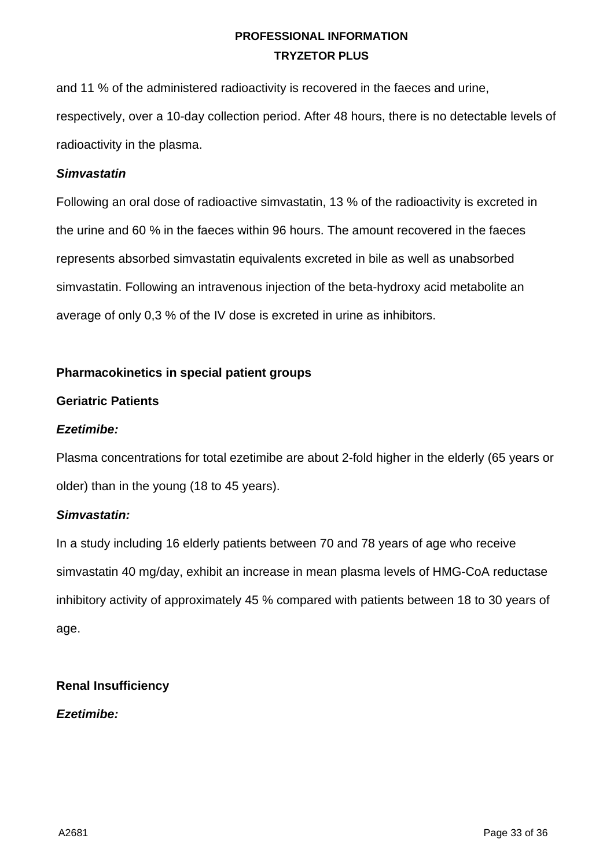and 11 % of the administered radioactivity is recovered in the faeces and urine, respectively, over a 10-day collection period. After 48 hours, there is no detectable levels of radioactivity in the plasma.

#### *Simvastatin*

Following an oral dose of radioactive simvastatin, 13 % of the radioactivity is excreted in the urine and 60 % in the faeces within 96 hours. The amount recovered in the faeces represents absorbed simvastatin equivalents excreted in bile as well as unabsorbed simvastatin. Following an intravenous injection of the beta-hydroxy acid metabolite an average of only 0,3 % of the IV dose is excreted in urine as inhibitors.

### **Pharmacokinetics in special patient groups**

### **Geriatric Patients**

#### *Ezetimibe:*

Plasma concentrations for total ezetimibe are about 2-fold higher in the elderly (65 years or older) than in the young (18 to 45 years).

### *Simvastatin:*

In a study including 16 elderly patients between 70 and 78 years of age who receive simvastatin 40 mg/day, exhibit an increase in mean plasma levels of HMG-CoA reductase inhibitory activity of approximately 45 % compared with patients between 18 to 30 years of age.

### **Renal Insufficiency**

### *Ezetimibe:*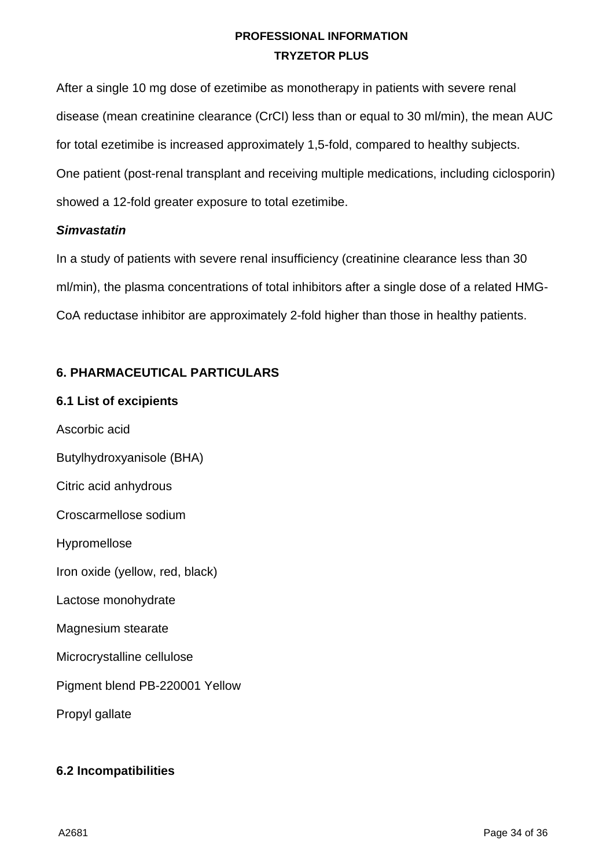After a single 10 mg dose of ezetimibe as monotherapy in patients with severe renal disease (mean creatinine clearance (CrCI) less than or equal to 30 ml/min), the mean AUC for total ezetimibe is increased approximately 1,5-fold, compared to healthy subjects. One patient (post-renal transplant and receiving multiple medications, including ciclosporin) showed a 12-fold greater exposure to total ezetimibe.

#### *Simvastatin*

In a study of patients with severe renal insufficiency (creatinine clearance less than 30 ml/min), the plasma concentrations of total inhibitors after a single dose of a related HMG-CoA reductase inhibitor are approximately 2-fold higher than those in healthy patients.

# **6. PHARMACEUTICAL PARTICULARS**

### **6.1 List of excipients**

Ascorbic acid Butylhydroxyanisole (BHA) Citric acid anhydrous Croscarmellose sodium Hypromellose Iron oxide (yellow, red, black) Lactose monohydrate Magnesium stearate Microcrystalline cellulose Pigment blend PB-220001 Yellow Propyl gallate

# **6.2 Incompatibilities**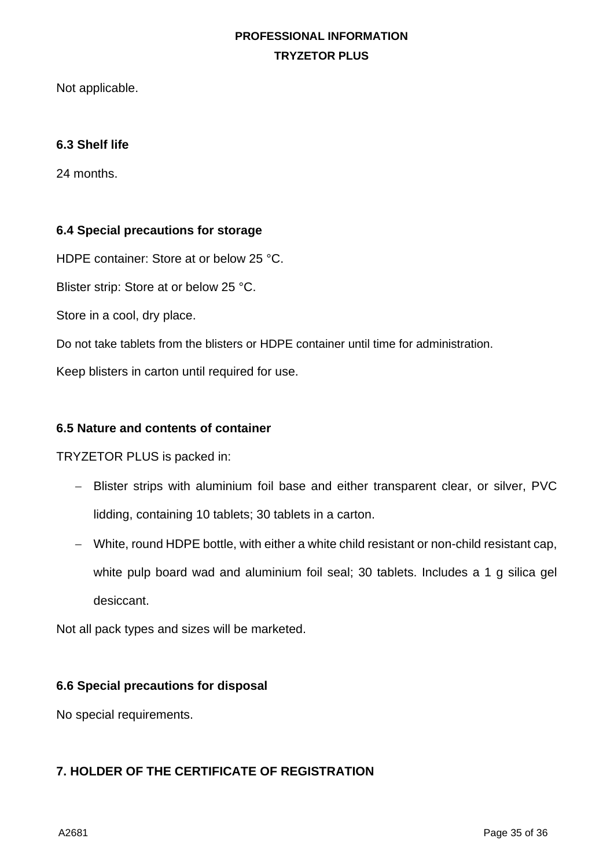Not applicable.

#### **6.3 Shelf life**

24 months.

#### **6.4 Special precautions for storage**

HDPE container: Store at or below 25 °C.

Blister strip: Store at or below 25 °C.

Store in a cool, dry place.

Do not take tablets from the blisters or HDPE container until time for administration.

Keep blisters in carton until required for use.

#### **6.5 Nature and contents of container**

TRYZETOR PLUS is packed in:

- − Blister strips with aluminium foil base and either transparent clear, or silver, PVC lidding, containing 10 tablets; 30 tablets in a carton.
- − White, round HDPE bottle, with either a white child resistant or non-child resistant cap, white pulp board wad and aluminium foil seal; 30 tablets. Includes a 1 g silica gel desiccant.

Not all pack types and sizes will be marketed.

#### **6.6 Special precautions for disposal**

No special requirements.

# **7. HOLDER OF THE CERTIFICATE OF REGISTRATION**